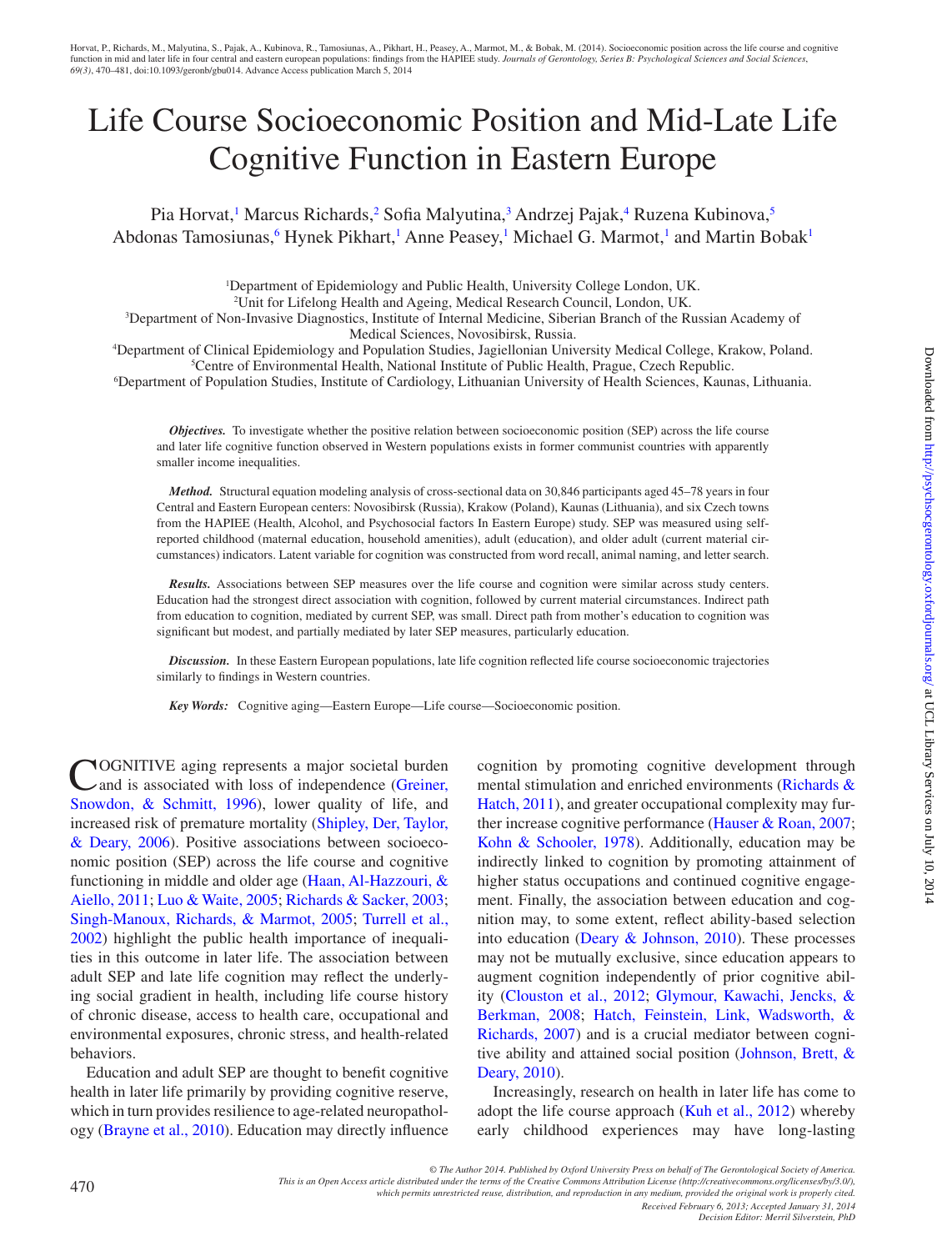# Life Course Socioeconomic Position and Mid-Late Life Cognitive Function in Eastern Europe

Pia Horvat,<sup>1</sup> Marcus Richards,<sup>[2](#page-0-1)</sup> Sofia Malyutina,<sup>[3](#page-0-2)</sup> Andrzej Pajak,<sup>4</sup> Ruzena Kubinova,<sup>[5](#page-0-4)</sup> Abdonas Tamosiunas, <sup>[6](#page-0-5)</sup> Hynek Pikhart, <sup>[1](#page-0-0)</sup> Anne Peasey, <sup>1</sup> Michael G. Marmot, <sup>1</sup> and Martin Bobak<sup>1</sup>

<span id="page-0-1"></span><span id="page-0-0"></span><sup>1</sup>Department of Epidemiology and Public Health, University College London, UK.

<span id="page-0-4"></span><span id="page-0-2"></span>2 Unit for Lifelong Health and Ageing, Medical Research Council, London, UK.

3 Department of Non-Invasive Diagnostics, Institute of Internal Medicine, Siberian Branch of the Russian Academy of Medical Sciences, Novosibirsk, Russia.

<span id="page-0-3"></span>4 Department of Clinical Epidemiology and Population Studies, Jagiellonian University Medical College, Krakow, Poland. 5 Centre of Environmental Health, National Institute of Public Health, Prague, Czech Republic.

<span id="page-0-5"></span>6 Department of Population Studies, Institute of Cardiology, Lithuanian University of Health Sciences, Kaunas, Lithuania.

*Objectives.* To investigate whether the positive relation between socioeconomic position (SEP) across the life course and later life cognitive function observed in Western populations exists in former communist countries with apparently smaller income inequalities.

*Method.* Structural equation modeling analysis of cross-sectional data on 30,846 participants aged 45–78 years in four Central and Eastern European centers: Novosibirsk (Russia), Krakow (Poland), Kaunas (Lithuania), and six Czech towns from the HAPIEE (Health, Alcohol, and Psychosocial factors In Eastern Europe) study. SEP was measured using selfreported childhood (maternal education, household amenities), adult (education), and older adult (current material circumstances) indicators. Latent variable for cognition was constructed from word recall, animal naming, and letter search.

*Results.* Associations between SEP measures over the life course and cognition were similar across study centers. Education had the strongest direct association with cognition, followed by current material circumstances. Indirect path from education to cognition, mediated by current SEP, was small. Direct path from mother's education to cognition was significant but modest, and partially mediated by later SEP measures, particularly education.

*Discussion.* In these Eastern European populations, late life cognition reflected life course socioeconomic trajectories similarly to findings in Western countries.

*Key Words:* Cognitive aging—Eastern Europe—Life course—Socioeconomic position.

**NOGNITIVE** aging represents a major societal burden and is associated with loss of independence (Greiner, [Snowdon, & Schmitt, 1996\)](#page-10-0), lower quality of life, and increased risk of premature mortality [\(Shipley, Der, Taylor,](#page-11-0)  [& Deary, 2006](#page-11-0)). Positive associations between socioeconomic position (SEP) across the life course and cognitive functioning in middle and older age [\(Haan, Al-Hazzouri, &](#page-10-1)  [Aiello, 2011;](#page-10-1) [Luo & Waite, 2005](#page-10-2); [Richards & Sacker, 2003;](#page-11-1) [Singh-Manoux, Richards, & Marmot, 2005;](#page-11-2) [Turrell et al.,](#page-11-3)  [2002\)](#page-11-3) highlight the public health importance of inequalities in this outcome in later life. The association between adult SEP and late life cognition may reflect the underlying social gradient in health, including life course history of chronic disease, access to health care, occupational and environmental exposures, chronic stress, and health-related behaviors.

Education and adult SEP are thought to benefit cognitive health in later life primarily by providing cognitive reserve, which in turn provides resilience to age-related neuropathology ([Brayne et al., 2010](#page-10-3)). Education may directly influence

cognition by promoting cognitive development through mental stimulation and enriched environments [\(Richards &](#page-11-4) [Hatch, 2011](#page-11-4)), and greater occupational complexity may further increase cognitive performance [\(Hauser & Roan, 2007](#page-10-4); [Kohn & Schooler, 1978](#page-10-5)). Additionally, education may be indirectly linked to cognition by promoting attainment of higher status occupations and continued cognitive engagement. Finally, the association between education and cognition may, to some extent, reflect ability-based selection into education (Deary  $&$  Johnson, 2010). These processes may not be mutually exclusive, since education appears to augment cognition independently of prior cognitive ability [\(Clouston et al., 2012;](#page-10-7) [Glymour, Kawachi, Jencks, &](#page-10-8) [Berkman, 2008](#page-10-8); [Hatch, Feinstein, Link, Wadsworth, &](#page-10-9) [Richards, 2007](#page-10-9)) and is a crucial mediator between cognitive ability and attained social position [\(Johnson, Brett, &](#page-10-10) [Deary, 2010](#page-10-10)).

Increasingly, research on health in later life has come to adopt the life course approach [\(Kuh et al., 2012](#page-10-7)) whereby early childhood experiences may have long-lasting

*© The Author 2014. Published by Oxford University Press on behalf of The Gerontological Society of America.* 

*which permits unrestricted reuse, distribution, and reproduction in any medium, provided the original work is properly cited.*

*Received February 6, 2013; Accepted January 31, 2014 Decision Editor: Merril Silverstein, PhD*

*This is an Open Access article distributed under the terms of the Creative Commons Attribution License (http://creativecommons.org/licenses/by/3.0/),*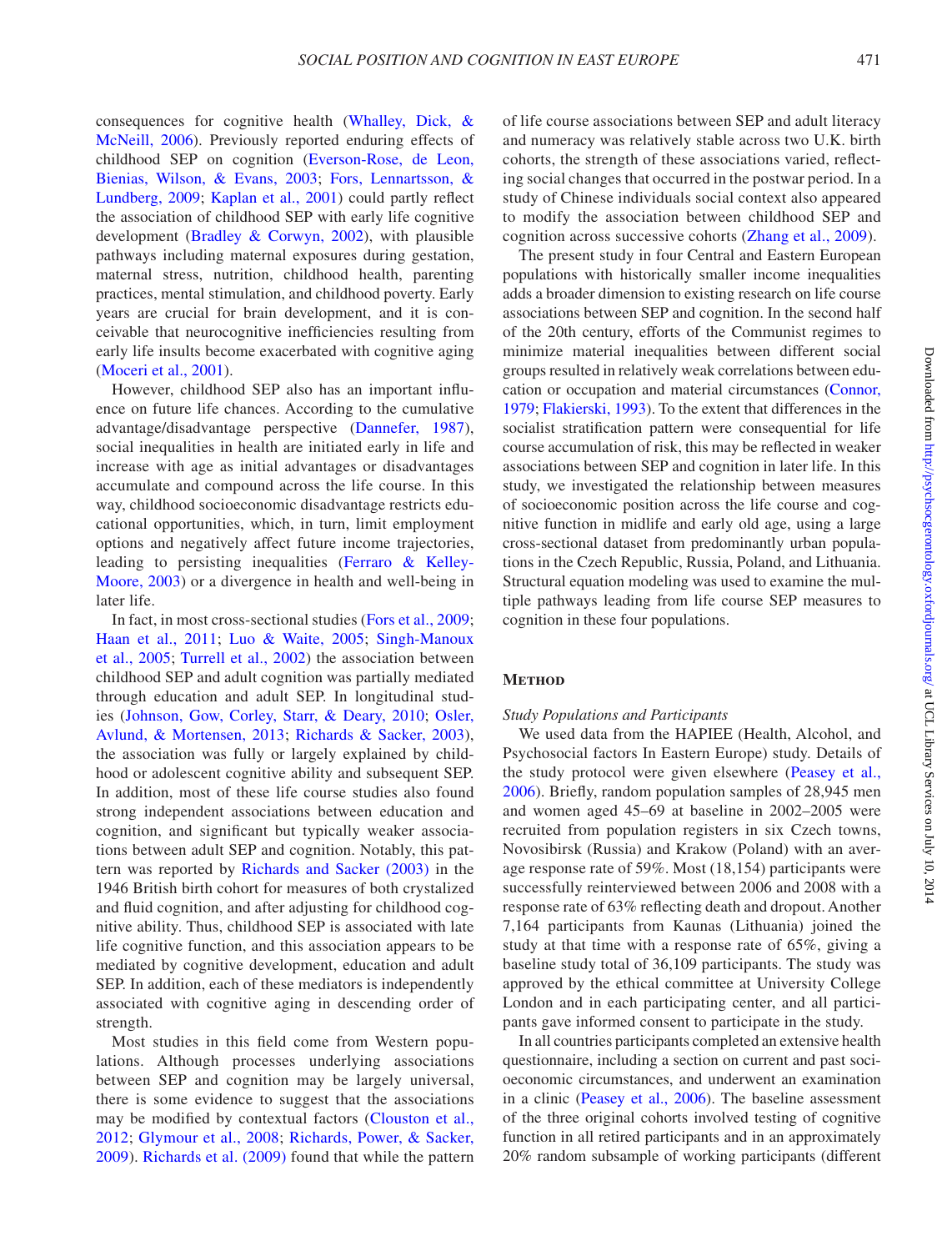consequences for cognitive health [\(Whalley, Dick, &](#page-11-5)  [McNeill, 2006\)](#page-11-5). Previously reported enduring effects of childhood SEP on cognition ([Everson-Rose, de Leon,](#page-10-11)  [Bienias, Wilson, & Evans, 2003;](#page-10-11) [Fors, Lennartsson, &](#page-10-12)  [Lundberg, 2009](#page-10-12); [Kaplan et al., 2001](#page-10-13)) could partly reflect the association of childhood SEP with early life cognitive development ([Bradley & Corwyn, 2002\)](#page-10-14), with plausible pathways including maternal exposures during gestation, maternal stress, nutrition, childhood health, parenting practices, mental stimulation, and childhood poverty. Early years are crucial for brain development, and it is conceivable that neurocognitive inefficiencies resulting from early life insults become exacerbated with cognitive aging [\(Moceri et al., 2001](#page-11-6)).

However, childhood SEP also has an important influence on future life chances. According to the cumulative advantage/disadvantage perspective [\(Dannefer, 1987\)](#page-10-15), social inequalities in health are initiated early in life and increase with age as initial advantages or disadvantages accumulate and compound across the life course. In this way, childhood socioeconomic disadvantage restricts educational opportunities, which, in turn, limit employment options and negatively affect future income trajectories, leading to persisting inequalities [\(Ferraro & Kelley-](#page-10-16)[Moore, 2003](#page-10-16)) or a divergence in health and well-being in later life.

In fact, in most cross-sectional studies [\(Fors et al., 2009;](#page-10-12) [Haan et al., 2011;](#page-10-1) [Luo & Waite, 2005;](#page-10-2) [Singh-Manoux](#page-11-2)  [et al., 2005](#page-11-2); [Turrell et al., 2002](#page-11-3)) the association between childhood SEP and adult cognition was partially mediated through education and adult SEP. In longitudinal studies ([Johnson, Gow, Corley, Starr, & Deary, 2010;](#page-10-17) [Osler,](#page-11-7)  [Avlund, & Mortensen, 2013](#page-11-7); [Richards & Sacker, 2003\)](#page-11-1), the association was fully or largely explained by childhood or adolescent cognitive ability and subsequent SEP. In addition, most of these life course studies also found strong independent associations between education and cognition, and significant but typically weaker associations between adult SEP and cognition. Notably, this pattern was reported by [Richards and Sacker \(2003\)](#page-11-1) in the 1946 British birth cohort for measures of both crystalized and fluid cognition, and after adjusting for childhood cognitive ability. Thus, childhood SEP is associated with late life cognitive function, and this association appears to be mediated by cognitive development, education and adult SEP. In addition, each of these mediators is independently associated with cognitive aging in descending order of strength.

Most studies in this field come from Western populations. Although processes underlying associations between SEP and cognition may be largely universal, there is some evidence to suggest that the associations may be modified by contextual factors (Clouston et al., [2012;](#page-10-7) [Glymour et al., 2008;](#page-10-8) [Richards, Power, & Sacker,](#page-11-8)  [2009\)](#page-11-8). [Richards et al. \(2009\)](#page-11-8) found that while the pattern of life course associations between SEP and adult literacy and numeracy was relatively stable across two U.K. birth cohorts, the strength of these associations varied, reflecting social changes that occurred in the postwar period. In a study of Chinese individuals social context also appeared to modify the association between childhood SEP and cognition across successive cohorts ([Zhang et al., 2009\)](#page-11-9).

The present study in four Central and Eastern European populations with historically smaller income inequalities adds a broader dimension to existing research on life course associations between SEP and cognition. In the second half of the 20th century, efforts of the Communist regimes to minimize material inequalities between different social groups resulted in relatively weak correlations between education or occupation and material circumstances [\(Connor,](#page-10-18) [1979;](#page-10-18) [Flakierski, 1993](#page-10-19)). To the extent that differences in the socialist stratification pattern were consequential for life course accumulation of risk, this may be reflected in weaker associations between SEP and cognition in later life. In this study, we investigated the relationship between measures of socioeconomic position across the life course and cognitive function in midlife and early old age, using a large cross-sectional dataset from predominantly urban populations in the Czech Republic, Russia, Poland, and Lithuania. Structural equation modeling was used to examine the multiple pathways leading from life course SEP measures to cognition in these four populations.

## **METHOD**

## *Study Populations and Participants*

We used data from the HAPIEE (Health, Alcohol, and Psychosocial factors In Eastern Europe) study. Details of the study protocol were given elsewhere ([Peasey et al.,](#page-11-10) [2006](#page-11-10)). Briefly, random population samples of 28,945 men and women aged 45–69 at baseline in 2002–2005 were recruited from population registers in six Czech towns, Novosibirsk (Russia) and Krakow (Poland) with an average response rate of 59%. Most (18,154) participants were successfully reinterviewed between 2006 and 2008 with a response rate of 63% reflecting death and dropout. Another 7,164 participants from Kaunas (Lithuania) joined the study at that time with a response rate of 65%, giving a baseline study total of 36,109 participants. The study was approved by the ethical committee at University College London and in each participating center, and all participants gave informed consent to participate in the study.

In all countries participants completed an extensive health questionnaire, including a section on current and past socioeconomic circumstances, and underwent an examination in a clinic ([Peasey et al., 2006\)](#page-11-10). The baseline assessment of the three original cohorts involved testing of cognitive function in all retired participants and in an approximately 20% random subsample of working participants (different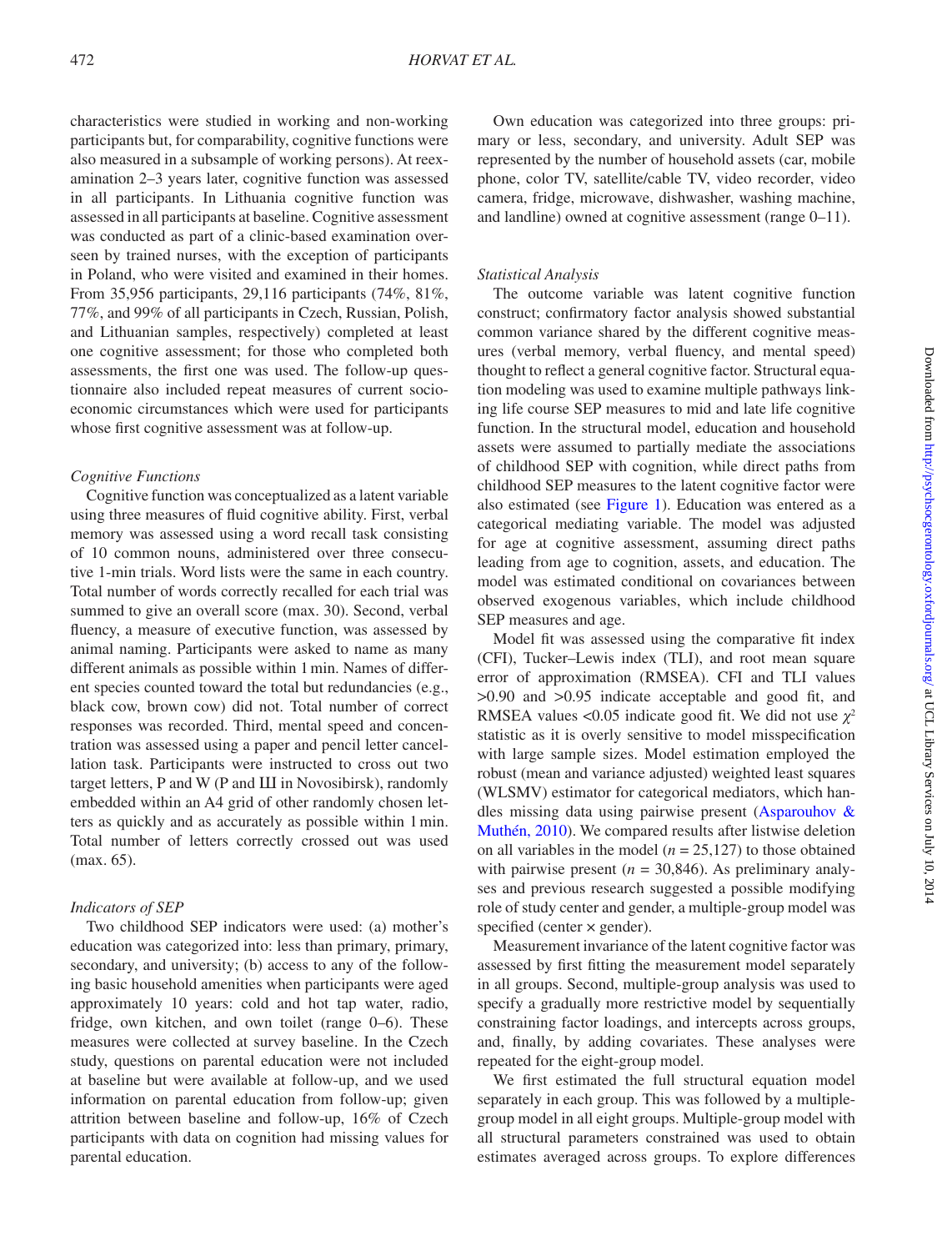characteristics were studied in working and non-working participants but, for comparability, cognitive functions were also measured in a subsample of working persons). At reexamination 2–3 years later, cognitive function was assessed in all participants. In Lithuania cognitive function was assessed in all participants at baseline. Cognitive assessment was conducted as part of a clinic-based examination overseen by trained nurses, with the exception of participants in Poland, who were visited and examined in their homes. From 35,956 participants, 29,116 participants (74%, 81%, 77%, and 99% of all participants in Czech, Russian, Polish, and Lithuanian samples, respectively) completed at least one cognitive assessment; for those who completed both assessments, the first one was used. The follow-up questionnaire also included repeat measures of current socioeconomic circumstances which were used for participants whose first cognitive assessment was at follow-up.

# *Cognitive Functions*

Cognitive function was conceptualized as a latent variable using three measures of fluid cognitive ability. First, verbal memory was assessed using a word recall task consisting of 10 common nouns, administered over three consecutive 1-min trials. Word lists were the same in each country. Total number of words correctly recalled for each trial was summed to give an overall score (max. 30). Second, verbal fluency, a measure of executive function, was assessed by animal naming. Participants were asked to name as many different animals as possible within 1min. Names of different species counted toward the total but redundancies (e.g., black cow, brown cow) did not. Total number of correct responses was recorded. Third, mental speed and concentration was assessed using a paper and pencil letter cancellation task. Participants were instructed to cross out two target letters, P and W (P and Ш in Novosibirsk), randomly embedded within an A4 grid of other randomly chosen letters as quickly and as accurately as possible within 1min. Total number of letters correctly crossed out was used (max. 65).

# *Indicators of SEP*

Two childhood SEP indicators were used: (a) mother's education was categorized into: less than primary, primary, secondary, and university; (b) access to any of the following basic household amenities when participants were aged approximately 10 years: cold and hot tap water, radio, fridge, own kitchen, and own toilet (range 0–6). These measures were collected at survey baseline. In the Czech study, questions on parental education were not included at baseline but were available at follow-up, and we used information on parental education from follow-up; given attrition between baseline and follow-up, 16% of Czech participants with data on cognition had missing values for parental education.

Own education was categorized into three groups: primary or less, secondary, and university. Adult SEP was represented by the number of household assets (car, mobile phone, color TV, satellite/cable TV, video recorder, video camera, fridge, microwave, dishwasher, washing machine, and landline) owned at cognitive assessment (range 0–11).

## *Statistical Analysis*

The outcome variable was latent cognitive function construct; confirmatory factor analysis showed substantial common variance shared by the different cognitive measures (verbal memory, verbal fluency, and mental speed) thought to reflect a general cognitive factor. Structural equation modeling was used to examine multiple pathways linking life course SEP measures to mid and late life cognitive function. In the structural model, education and household assets were assumed to partially mediate the associations of childhood SEP with cognition, while direct paths from childhood SEP measures to the latent cognitive factor were also estimated (see [Figure 1](#page-3-0)). Education was entered as a categorical mediating variable. The model was adjusted for age at cognitive assessment, assuming direct paths leading from age to cognition, assets, and education. The model was estimated conditional on covariances between observed exogenous variables, which include childhood SEP measures and age.

Model fit was assessed using the comparative fit index (CFI), Tucker–Lewis index (TLI), and root mean square error of approximation (RMSEA). CFI and TLI values >0.90 and >0.95 indicate acceptable and good fit, and RMSEA values <0.05 indicate good fit. We did not use  $\chi^2$ statistic as it is overly sensitive to model misspecification with large sample sizes. Model estimation employed the robust (mean and variance adjusted) weighted least squares (WLSMV) estimator for categorical mediators, which handles missing data using pairwise present ([Asparouhov &](#page-9-0) [Muthén, 2010\)](#page-9-0). We compared results after listwise deletion on all variables in the model  $(n = 25,127)$  to those obtained with pairwise present  $(n = 30,846)$ . As preliminary analyses and previous research suggested a possible modifying role of study center and gender, a multiple-group model was specified (center  $\times$  gender).

Measurement invariance of the latent cognitive factor was assessed by first fitting the measurement model separately in all groups. Second, multiple-group analysis was used to specify a gradually more restrictive model by sequentially constraining factor loadings, and intercepts across groups, and, finally, by adding covariates. These analyses were repeated for the eight-group model.

We first estimated the full structural equation model separately in each group. This was followed by a multiplegroup model in all eight groups. Multiple-group model with all structural parameters constrained was used to obtain estimates averaged across groups. To explore differences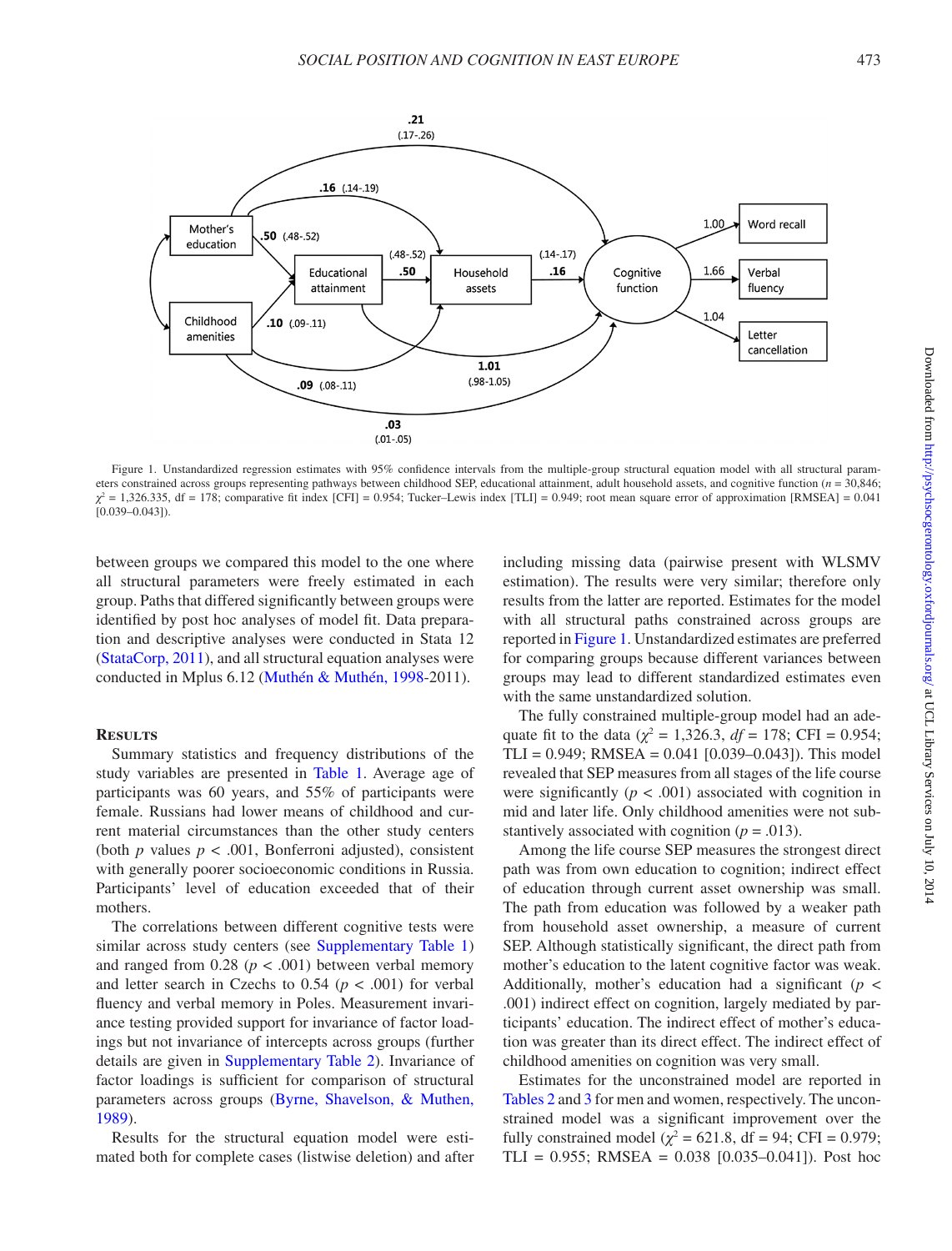

<span id="page-3-0"></span>Figure 1. Unstandardized regression estimates with 95% confidence intervals from the multiple-group structural equation model with all structural parameters constrained across groups representing pathways between childhood SEP, educational attainment, adult household assets, and cognitive function (*n* = 30,846;  $χ<sup>2</sup> = 1,326.335$ , df = 178; comparative fit index [CFI] = 0.954; Tucker–Lewis index [TLI] = 0.949; root mean square error of approximation [RMSEA] = 0.041  $[0.039 - 0.043]$ 

between groups we compared this model to the one where all structural parameters were freely estimated in each group. Paths that differed significantly between groups were identified by post hoc analyses of model fit. Data preparation and descriptive analyses were conducted in Stata 12 [\(StataCorp, 2011\)](#page-11-11), and all structural equation analyses were conducted in Mplus 6.12 [\(Muthén & Muthén, 1998](#page-11-12)-2011).

## **Results**

Summary statistics and frequency distributions of the study variables are presented in [Table 1](#page-4-0). Average age of participants was 60 years, and 55% of participants were female. Russians had lower means of childhood and current material circumstances than the other study centers (both  $p$  values  $p < .001$ , Bonferroni adjusted), consistent with generally poorer socioeconomic conditions in Russia. Participants' level of education exceeded that of their mothers.

The correlations between different cognitive tests were similar across study centers (see Supplementary Table 1) and ranged from  $0.28$  ( $p < .001$ ) between verbal memory and letter search in Czechs to  $0.54$  ( $p < .001$ ) for verbal fluency and verbal memory in Poles. Measurement invariance testing provided support for invariance of factor loadings but not invariance of intercepts across groups (further details are given in [Supplementary Table 2\)](http://psychsocgerontology.oxfordjournals.org/lookup/suppl/doi:10.1093/geronb/gbu014/-/DC1). Invariance of factor loadings is sufficient for comparison of structural parameters across groups [\(Byrne, Shavelson, & Muthen,](#page-10-20)  [1989\)](#page-10-20).

Results for the structural equation model were estimated both for complete cases (listwise deletion) and after including missing data (pairwise present with WLSMV estimation). The results were very similar; therefore only results from the latter are reported. Estimates for the model with all structural paths constrained across groups are reported in [Figure 1](#page-3-0). Unstandardized estimates are preferred for comparing groups because different variances between groups may lead to different standardized estimates even with the same unstandardized solution.

The fully constrained multiple-group model had an adequate fit to the data ( $\chi^2 = 1,326.3$ ,  $df = 178$ ; CFI = 0.954; TLI =  $0.949$ ; RMSEA =  $0.041$  [ $0.039-0.043$ ]). This model revealed that SEP measures from all stages of the life course were significantly  $(p < .001)$  associated with cognition in mid and later life. Only childhood amenities were not substantively associated with cognition  $(p = .013)$ .

Among the life course SEP measures the strongest direct path was from own education to cognition; indirect effect of education through current asset ownership was small. The path from education was followed by a weaker path from household asset ownership, a measure of current SEP. Although statistically significant, the direct path from mother's education to the latent cognitive factor was weak. Additionally, mother's education had a significant (*p* < .001) indirect effect on cognition, largely mediated by participants' education. The indirect effect of mother's education was greater than its direct effect. The indirect effect of childhood amenities on cognition was very small.

Estimates for the unconstrained model are reported in [Tables 2](#page-5-0) and [3](#page-6-0) for men and women, respectively. The unconstrained model was a significant improvement over the fully constrained model ( $\chi^2$  = 621.8, df = 94; CFI = 0.979; TLI =  $0.955$ ; RMSEA =  $0.038$  [0.035–0.041]). Post hoc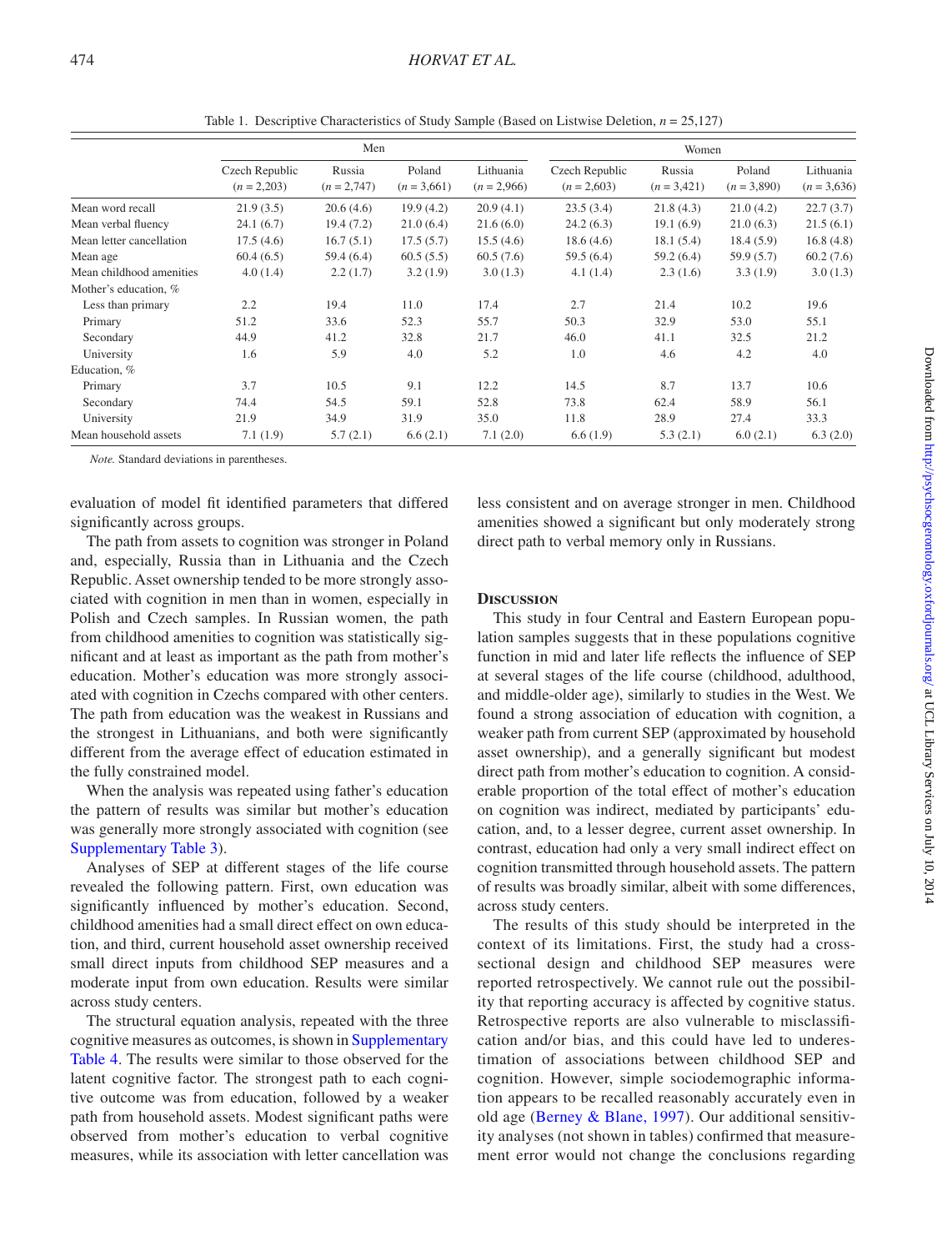|                          |                                 | Men                     |                         |                            |                                 | Women                   |                         |                            |
|--------------------------|---------------------------------|-------------------------|-------------------------|----------------------------|---------------------------------|-------------------------|-------------------------|----------------------------|
|                          | Czech Republic<br>$(n = 2,203)$ | Russia<br>$(n = 2,747)$ | Poland<br>$(n = 3,661)$ | Lithuania<br>$(n = 2,966)$ | Czech Republic<br>$(n = 2,603)$ | Russia<br>$(n = 3,421)$ | Poland<br>$(n = 3,890)$ | Lithuania<br>$(n = 3,636)$ |
| Mean word recall         | 21.9(3.5)                       | 20.6(4.6)               | 19.9(4.2)               | 20.9(4.1)                  | 23.5(3.4)                       | 21.8(4.3)               | 21.0(4.2)               | 22.7(3.7)                  |
| Mean verbal fluency      | 24.1(6.7)                       | 19.4(7.2)               | 21.0(6.4)               | 21.6(6.0)                  | 24.2(6.3)                       | 19.1(6.9)               | 21.0(6.3)               | 21.5(6.1)                  |
| Mean letter cancellation | 17.5(4.6)                       | 16.7(5.1)               | 17.5(5.7)               | 15.5(4.6)                  | 18.6(4.6)                       | 18.1(5.4)               | 18.4(5.9)               | 16.8(4.8)                  |
| Mean age                 | 60.4(6.5)                       | 59.4 (6.4)              | 60.5(5.5)               | 60.5(7.6)                  | 59.5(6.4)                       | 59.2 (6.4)              | 59.9(5.7)               | 60.2(7.6)                  |
| Mean childhood amenities | 4.0(1.4)                        | 2.2(1.7)                | 3.2(1.9)                | 3.0(1.3)                   | 4.1(1.4)                        | 2.3(1.6)                | 3.3(1.9)                | 3.0(1.3)                   |
| Mother's education, %    |                                 |                         |                         |                            |                                 |                         |                         |                            |
| Less than primary        | 2.2                             | 19.4                    | 11.0                    | 17.4                       | 2.7                             | 21.4                    | 10.2                    | 19.6                       |
| Primary                  | 51.2                            | 33.6                    | 52.3                    | 55.7                       | 50.3                            | 32.9                    | 53.0                    | 55.1                       |
| Secondary                | 44.9                            | 41.2                    | 32.8                    | 21.7                       | 46.0                            | 41.1                    | 32.5                    | 21.2                       |
| University               | 1.6                             | 5.9                     | 4.0                     | 5.2                        | 1.0                             | 4.6                     | 4.2                     | 4.0                        |
| Education, %             |                                 |                         |                         |                            |                                 |                         |                         |                            |
| Primary                  | 3.7                             | 10.5                    | 9.1                     | 12.2                       | 14.5                            | 8.7                     | 13.7                    | 10.6                       |
| Secondary                | 74.4                            | 54.5                    | 59.1                    | 52.8                       | 73.8                            | 62.4                    | 58.9                    | 56.1                       |
| University               | 21.9                            | 34.9                    | 31.9                    | 35.0                       | 11.8                            | 28.9                    | 27.4                    | 33.3                       |
| Mean household assets    | 7.1(1.9)                        | 5.7(2.1)                | 6.6(2.1)                | 7.1(2.0)                   | 6.6(1.9)                        | 5.3(2.1)                | 6.0(2.1)                | 6.3(2.0)                   |

<span id="page-4-0"></span>Table 1. Descriptive Characteristics of Study Sample (Based on Listwise Deletion, *n* = 25,127)

*Note.* Standard deviations in parentheses.

evaluation of model fit identified parameters that differed significantly across groups.

The path from assets to cognition was stronger in Poland and, especially, Russia than in Lithuania and the Czech Republic. Asset ownership tended to be more strongly associated with cognition in men than in women, especially in Polish and Czech samples. In Russian women, the path from childhood amenities to cognition was statistically significant and at least as important as the path from mother's education. Mother's education was more strongly associated with cognition in Czechs compared with other centers. The path from education was the weakest in Russians and the strongest in Lithuanians, and both were significantly different from the average effect of education estimated in the fully constrained model.

When the analysis was repeated using father's education the pattern of results was similar but mother's education was generally more strongly associated with cognition (see [Supplementary Table 3](http://psychsocgerontology.oxfordjournals.org/lookup/suppl/doi:10.1093/geronb/gbu014/-/DC1)).

Analyses of SEP at different stages of the life course revealed the following pattern. First, own education was significantly influenced by mother's education. Second, childhood amenities had a small direct effect on own education, and third, current household asset ownership received small direct inputs from childhood SEP measures and a moderate input from own education. Results were similar across study centers.

The structural equation analysis, repeated with the three cognitive measures as outcomes, is shown in [Supplementary](http://psychsocgerontology.oxfordjournals.org/lookup/suppl/doi:10.1093/geronb/gbu014/-/DC1)  [Table 4.](http://psychsocgerontology.oxfordjournals.org/lookup/suppl/doi:10.1093/geronb/gbu014/-/DC1) The results were similar to those observed for the latent cognitive factor. The strongest path to each cognitive outcome was from education, followed by a weaker path from household assets. Modest significant paths were observed from mother's education to verbal cognitive measures, while its association with letter cancellation was

less consistent and on average stronger in men. Childhood amenities showed a significant but only moderately strong direct path to verbal memory only in Russians.

# **Discussion**

This study in four Central and Eastern European population samples suggests that in these populations cognitive function in mid and later life reflects the influence of SEP at several stages of the life course (childhood, adulthood, and middle-older age), similarly to studies in the West. We found a strong association of education with cognition, a weaker path from current SEP (approximated by household asset ownership), and a generally significant but modest direct path from mother's education to cognition. A considerable proportion of the total effect of mother's education on cognition was indirect, mediated by participants' education, and, to a lesser degree, current asset ownership. In contrast, education had only a very small indirect effect on cognition transmitted through household assets. The pattern of results was broadly similar, albeit with some differences, across study centers.

The results of this study should be interpreted in the context of its limitations. First, the study had a crosssectional design and childhood SEP measures were reported retrospectively. We cannot rule out the possibility that reporting accuracy is affected by cognitive status. Retrospective reports are also vulnerable to misclassification and/or bias, and this could have led to underestimation of associations between childhood SEP and cognition. However, simple sociodemographic information appears to be recalled reasonably accurately even in old age [\(Berney & Blane, 1997](#page-10-21)). Our additional sensitivity analyses (not shown in tables) confirmed that measurement error would not change the conclusions regarding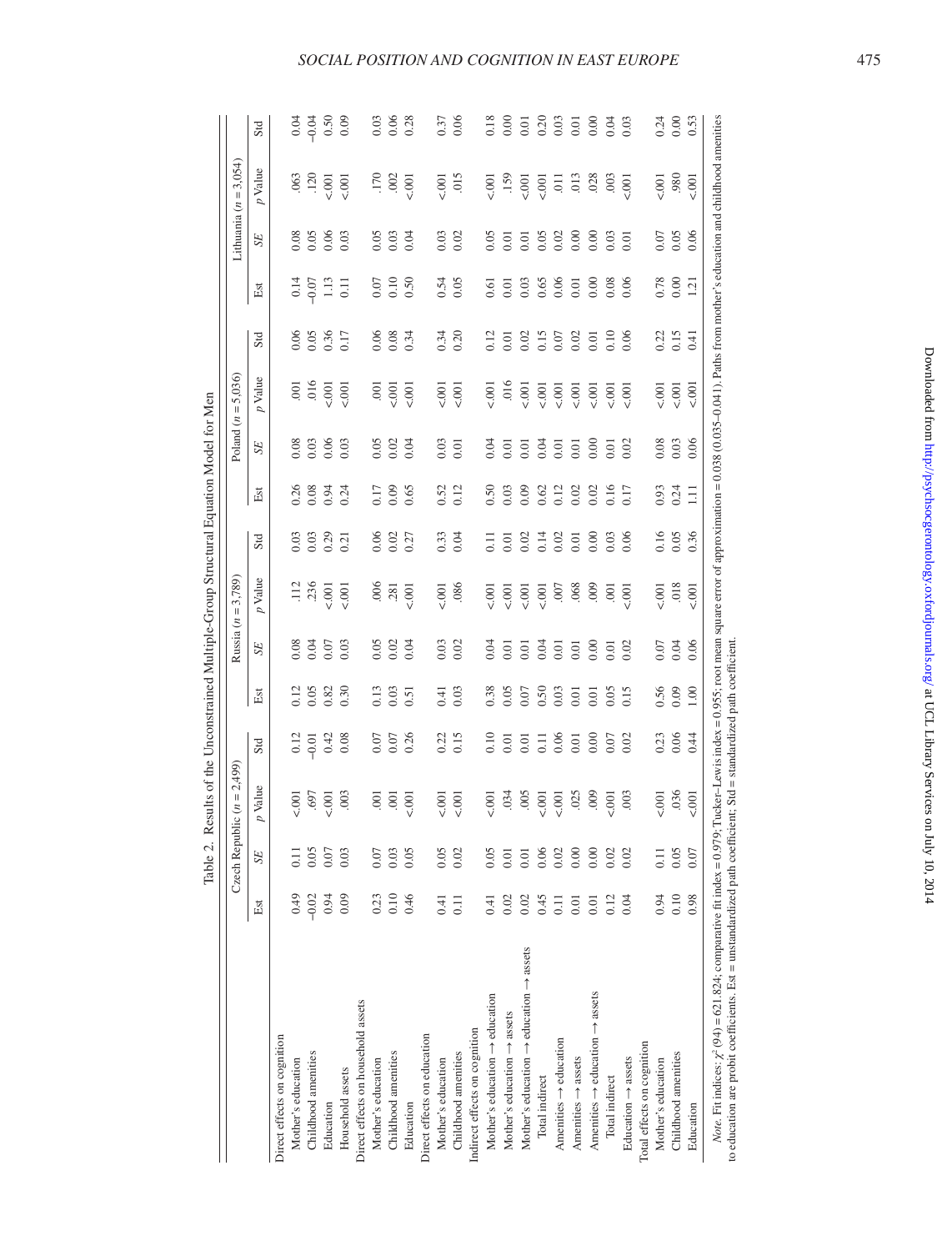<span id="page-5-0"></span>

|                                                                                                                                                                                                         |         | Czech Republ | ic $(n = 2,499)$ |         |      |      | Russia ( $n = 3,789$ ) |      |                  |                  | Poland $(n = 5,036)$ |      |                   |                   | Lithuania $(n = 3,054)$                                                                                                                          |         |
|---------------------------------------------------------------------------------------------------------------------------------------------------------------------------------------------------------|---------|--------------|------------------|---------|------|------|------------------------|------|------------------|------------------|----------------------|------|-------------------|-------------------|--------------------------------------------------------------------------------------------------------------------------------------------------|---------|
|                                                                                                                                                                                                         | Est     | <b>SE</b>    | $p$ Value        | Std     | Еă   | SE   | p Value                | Std  | Est              | SE               | p Value              | Std  | Est               | SE <sub></sub>    | $p$ Value                                                                                                                                        | Std     |
| Direct effects on cognition                                                                                                                                                                             |         |              |                  |         |      |      |                        |      |                  |                  |                      |      |                   |                   |                                                                                                                                                  |         |
| Mother's education                                                                                                                                                                                      | 64.0    | $\Xi$        | 5.001            | 0.12    | 0.12 | 0.08 | $\frac{12}{1}$         | 0.03 | 0.26             | 0.08             | $\overline{5}$       | 0.06 | 0.14              | 0.08              | .063                                                                                                                                             | 0.04    |
| Childhood amenities                                                                                                                                                                                     | $-0.02$ | 0.05         | .697             | $-0.01$ | 0.05 | 0.04 | .236                   | 0.03 | 0.08             | 0.03             | .016                 | 0.05 | $-0.07$           | 0.05              | .120                                                                                                                                             | $-0.04$ |
| Education                                                                                                                                                                                               | 0.94    | 0.07         | $-001$           | 0.42    | 0.82 | 0.07 | 5001                   | 0.29 | 0.94             | 0.06             | $\frac{1}{2}$        | 0.36 | 1.13              | 0.06              | 5.001                                                                                                                                            | 0.50    |
| Household assets                                                                                                                                                                                        | 0.09    | 0.03         | .003             | 0.08    | 0.30 | 0.03 | 5001                   | 0.21 | 0.24             | 0.03             | 500                  | 0.17 | $\overline{0}$    | 0.03              | 500                                                                                                                                              | 0.09    |
| Direct effects on household assets                                                                                                                                                                      |         |              |                  |         |      |      |                        |      |                  |                  |                      |      |                   |                   |                                                                                                                                                  |         |
| Mother's education                                                                                                                                                                                      | 0.23    | 0.07         | $\overline{0}$   | 0.07    | 0.13 | 0.05 | .006                   | 0.06 | 0.17             | 0.05             | $\overline{5}$       | 0.06 | 0.07              | 0.05              | .170                                                                                                                                             | 0.03    |
| Childhood amenities                                                                                                                                                                                     | 0.10    | 0.03         | .001             | 0.07    | 0.03 | 0.02 | .281                   | 0.02 | 0.09             | 0.02             | 5.001                | 0.08 | 0.10              | 0.03              | .002                                                                                                                                             | 0.06    |
| Education                                                                                                                                                                                               | 0.46    | 0.05         | $\overline{6}$   | 0.26    | 0.51 | 0.04 | 5001                   | 0.27 | 0.65             | 0.04             | $\overline{001}$     | 0.34 | 0.50              | 0.04              | 5.001                                                                                                                                            | 0.28    |
| Direct effects on education                                                                                                                                                                             |         |              |                  |         |      |      |                        |      |                  |                  |                      |      |                   |                   |                                                                                                                                                  |         |
| Mother's education                                                                                                                                                                                      | 0.41    | 0.05         | $\overline{00}$  | 0.22    | 0.41 | 0.03 | 5001                   | 0.33 | 0.52             | 0.03             | $\overline{0}$       | 0.34 | 0.54              | 0.03              | 5001                                                                                                                                             | 0.37    |
| Childhood amenities                                                                                                                                                                                     | 0.11    | 0.02         | 5001             | 0.15    | 0.03 | 0.02 | .086                   | 0.04 | 0.12             | 0.01             | $\overline{001}$     | 0.20 | 0.05              | 0.02              | 015                                                                                                                                              | 0.06    |
| Indirect effects on cognition                                                                                                                                                                           |         |              |                  |         |      |      |                        |      |                  |                  |                      |      |                   |                   |                                                                                                                                                  |         |
| Mother's education $\rightarrow$ education                                                                                                                                                              | 0.41    | 0.05         | $\overline{6}$   | 0.10    | 0.38 | 0.04 | $-001$                 | 0.11 | 0.50             | 0.04             | $-001$               | 0.12 | 0.61              | 0.05              | 5001                                                                                                                                             | 0.18    |
| Mother's education $\rightarrow$ assets                                                                                                                                                                 | 0.02    | 0.01         | .034             | 0.01    | 0.05 | 0.01 | $\overline{0}$         | 0.01 | 0.03             | $\overline{0}$ . | .016                 | 0.01 | $\overline{0.01}$ | $\overline{0.01}$ | .159                                                                                                                                             | 0.00    |
| Mother's education $\rightarrow$ education $\rightarrow$ assets                                                                                                                                         | 0.02    | 0.01         | .005             | 0.01    | 0.07 | 0.01 | $\overline{0}$         | 0.02 | 0.09             | 0.01             | 5001                 | 0.02 | 0.03              | 0.01              | 5.001                                                                                                                                            | 0.01    |
| Total indirect                                                                                                                                                                                          | 0.45    | 0.06         | 5001             | 0.11    | 0.50 | 0.04 | 5001                   | 0.14 | 0.62             | 0.04             | 5001                 | 0.15 | 0.65              | 0.05              | $\overline{6}$                                                                                                                                   | 0.20    |
| Amenities $\rightarrow$ education                                                                                                                                                                       | 0.11    | 0.02         | $-001$           | 0.06    | 0.03 | 0.01 | .007                   | 0.02 | 0.12             | 0.01             | $\overline{0}$       | 0.07 | 0.06              | 0.02              | $\overline{5}$                                                                                                                                   | 0.03    |
| Amenities $\rightarrow$ assets                                                                                                                                                                          | 0.01    | 0.00         | .025             | 0.01    | 0.01 | 0.01 | .068                   | 0.01 | 0.02             | 0.01             | $\overline{0}$       | 0.02 | 0.01              | 0.00              | .013                                                                                                                                             | 0.01    |
| Amenities $\rightarrow$ education $\rightarrow$ assets                                                                                                                                                  | 0.01    | 0.00         | 600              | 0.00    | 0.01 | 0.00 | 000.                   | 0.00 | 0.02             | 0.00             | 5001                 | 0.01 | 0.00              | 0.00              | .028                                                                                                                                             | 0.00    |
| Total indirect                                                                                                                                                                                          | 0.12    | 0.02         | 5.001            | 0.07    | 0.05 | 0.01 | .001                   | 0.03 | 0.16             | 0.01             | 5001                 | 0.10 | 0.08              | 0.03              | $\overline{0}03$                                                                                                                                 | 0.04    |
| Education $\rightarrow$ assets                                                                                                                                                                          | 0.04    | 0.02         | 003              | 0.02    | 0.15 | 0.02 | $-001$                 | 0.06 | 0.17             | 0.02             | $\overline{6}$       | 0.06 | 0.06              | 0.01              | 5001                                                                                                                                             | 0.03    |
| Total effects on cognition                                                                                                                                                                              |         |              |                  |         |      |      |                        |      |                  |                  |                      |      |                   |                   |                                                                                                                                                  |         |
| Mother's education                                                                                                                                                                                      | 0.94    | $\Xi$        | 5001             | 0.23    | 0.56 | 0.07 | 5001                   | 0.16 |                  | 0.08             | 5001                 | 0.22 | 0.78              | 0.07              | 5001                                                                                                                                             | 0.24    |
| Childhood amenities                                                                                                                                                                                     | 0.10    | 0.05         | .036             | 0.06    | 0.09 | 0.04 | .018                   | 0.05 | $0.93$<br>$0.24$ | 0.03             | $\overline{0}$       | 0.15 | $0.00\,$          | 0.05              | .980                                                                                                                                             | 0.00    |
| Education                                                                                                                                                                                               | 0.98    | 0.07         | 5001             | 0.44    | 1.00 | 0.06 | $-001$                 | 0.36 | Ξ                | 0.06             | $-001$               | 0.41 | 1.21              | 0.06              | 5001                                                                                                                                             | 0.53    |
| to education are probit coefficients. Est = unstandardized path coefficient; Std = standardized path coefficient<br><i>Note.</i> Fit indices: $\chi^2(94) = 621.824$ ; comparative fit index = 0.979; 1 |         |              |                  |         |      |      |                        |      |                  |                  |                      |      |                   |                   | Tucker-Lewis index = 0.955; root mean square error of approximation = 0.038 (0.035-0.041). Paths from mother's education and childhood amenities |         |

Table 2. Results of the Unconstrained Multiple-Group Structural Equation Model for Men Table 2. Results of the Unconstrained Multiple-Group Structural Equation Model for Men *SOCIAL POSITION AND COGNITION IN EAST EURO*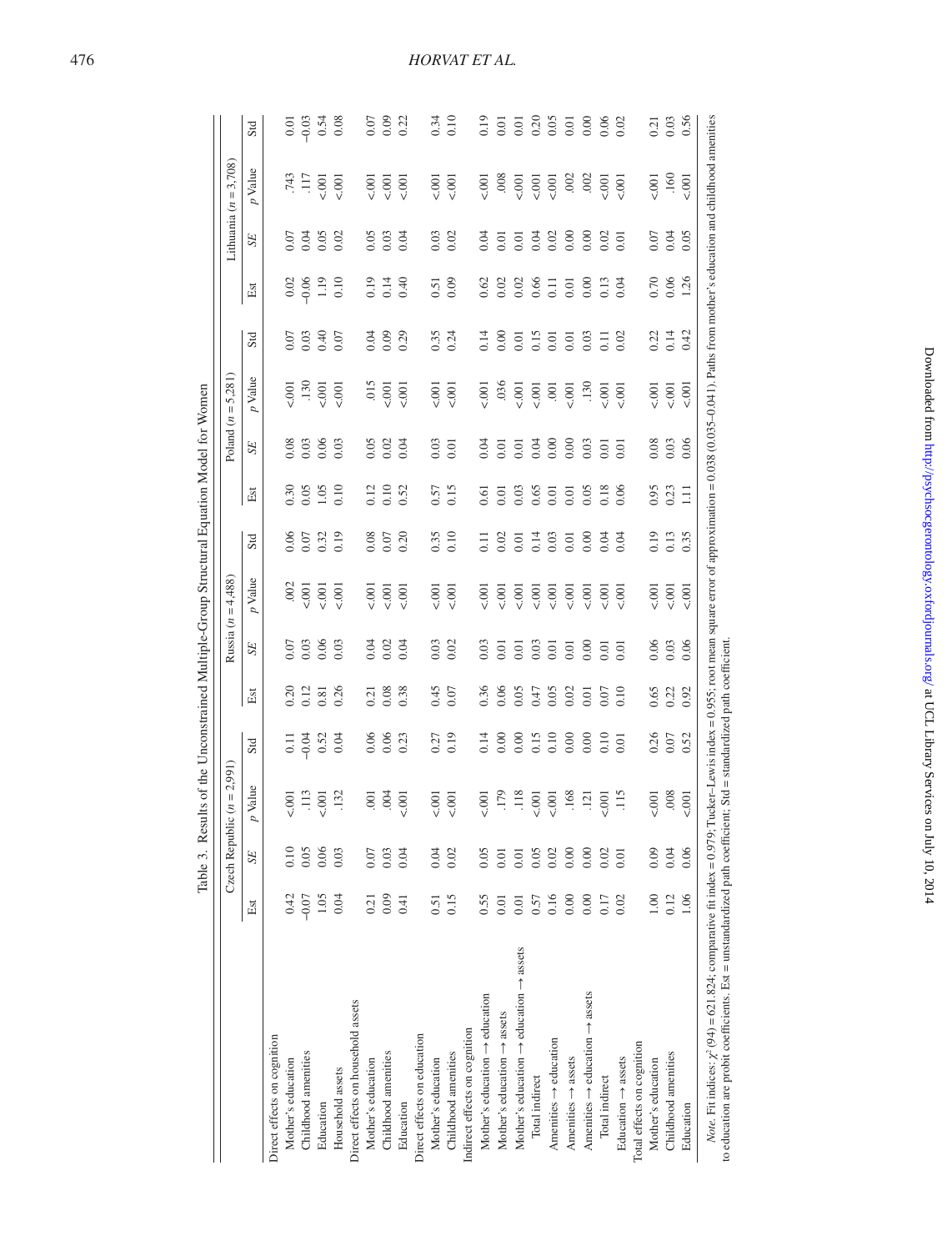<span id="page-6-0"></span>

|                                                                                                                                                                                                       |         | Czech Republ   | ic $(n = 2,991)$ |                  |      |           | Russia $(n = 4,488)$ |                    |       |           | Poland $(n = 5,281)$ |                   |                |                | Lithuania $(n = 3,708)$                                                                                                                          |         |
|-------------------------------------------------------------------------------------------------------------------------------------------------------------------------------------------------------|---------|----------------|------------------|------------------|------|-----------|----------------------|--------------------|-------|-----------|----------------------|-------------------|----------------|----------------|--------------------------------------------------------------------------------------------------------------------------------------------------|---------|
|                                                                                                                                                                                                       | Est     | SE <sub></sub> | p Value          | Std              | Est  | <b>SE</b> | $p$ Value            | Std                | Est   | <b>SE</b> | p Value              | Std               | Est            | SE <sub></sub> | $p$ Value                                                                                                                                        | Std     |
| Direct effects on cognition                                                                                                                                                                           |         |                |                  |                  |      |           |                      |                    |       |           |                      |                   |                |                |                                                                                                                                                  |         |
| Mother's education                                                                                                                                                                                    | 0.42    | $\frac{0}{2}$  | $-001$           |                  | 0.20 | 0.07      | .002                 | 0.06               | 0.30  | 0.08      | 5001                 | 0.07              | 0.02           | 0.07           | .743                                                                                                                                             | 0.01    |
| Childhood amenities                                                                                                                                                                                   | $-0.07$ | 0.05           | $\overline{113}$ | $\frac{11}{100}$ | 0.12 | 0.03      | 5.001                | 0.07               | 0.05  | 0.03      | .130                 | 0.03              | $-0.06$        | 0.04           | $\overline{117}$                                                                                                                                 | $-0.03$ |
| Education                                                                                                                                                                                             | 1.05    | 0.06           | 5001             | 0.52             | 0.81 | 0.06      | 5001                 | 0.32               | 1.05  | 0.06      | $\frac{1}{2}$        | 0.40              | 1.19           | 0.05           | 5.001                                                                                                                                            | 0.54    |
| Household assets                                                                                                                                                                                      | 0.04    | 0.03           | .132             | 0.04             | 0.26 | 0.03      | 5001                 | 0.19               | 0.10  | 0.03      | $-001$               | 0.07              | 0.10           | 0.02           | $-001$                                                                                                                                           | 0.08    |
| Direct effects on household assets                                                                                                                                                                    |         |                |                  |                  |      |           |                      |                    |       |           |                      |                   |                |                |                                                                                                                                                  |         |
| Mother's education                                                                                                                                                                                    | 0.21    | 0.07           | $\overline{0}$   | 0.06             | 21   | 0.04      | 5001                 | 0.08               | 0.12  | 0.05      | .015                 | 0.04              | 0.19           | 0.05           | $\overline{0}$                                                                                                                                   | 0.07    |
| Childhood amenities                                                                                                                                                                                   | 0.09    | 0.03           | .004             | 0.06             | 0.08 | 0.02      | 5001                 | 0.07               | 0.10  | 0.02      | 5.001                | 0.09              | 0.14           | 0.03           | 5.001                                                                                                                                            | 0.09    |
| Education                                                                                                                                                                                             | 0.41    | 0.04           | 5001             | 0.23             | 0.38 | 0.04      | $-001$               | 0.20               | 0.52  | 0.04      | $\overline{6}$       | 0.29              | 0.40           | 0.04           | $\overline{6}$                                                                                                                                   | 0.22    |
| Direct effects on education                                                                                                                                                                           |         |                |                  |                  |      |           |                      |                    |       |           |                      |                   |                |                |                                                                                                                                                  |         |
| Mother's education                                                                                                                                                                                    | 0.51    | 0.04           | 5001             | 0.27             | 0.45 | 0.03      | 5001                 | 0.35               | 0.57  | 0.03      | 5.001                | 0.35              | 0.51           | 0.03           | 5001                                                                                                                                             | 0.34    |
| Childhood amenities                                                                                                                                                                                   | 0.15    | 0.02           | 5001             | 0.19             | 0.07 | 0.02      | 5.001                | 0.10               | 0.15  | 0.01      | 5001                 | 0.24              | 0.09           | 0.02           | $\overline{6}$                                                                                                                                   | 0.10    |
| Indirect effects on cognition                                                                                                                                                                         |         |                |                  |                  |      |           |                      |                    |       |           |                      |                   |                |                |                                                                                                                                                  |         |
| Mother's education $\rightarrow$ education                                                                                                                                                            | 0.55    | 0.05           | $-001$           | 0.14             | 0.36 | 0.03      | 5001                 | $\overline{0}$ .11 | 0.61  | 0.04      | $-0.001$             | 0.14              | 0.62           | 0.04           | $-001$                                                                                                                                           | 0.19    |
| Mother's education $\rightarrow$ assets                                                                                                                                                               | 0.01    | 0.01           | .179             | 0.00             | 0.06 | 0.01      | 5001                 | 0.02               | 0.01  | 0.01      | .036                 | 0.00              | 0.02           | 0.01           | .008                                                                                                                                             | 0.01    |
| Mother's education $\rightarrow$ education $\rightarrow$ assets                                                                                                                                       | 0.01    | 0.01           | $\overline{118}$ | 0.00             | 0.05 | 0.01      | $\overline{001}$     | 0.01               | 0.03  | 0.01      | $\overline{6}$       | 0.01              | 0.02           | 0.01           | 5001                                                                                                                                             | 0.01    |
| Total indirect                                                                                                                                                                                        | 0.57    | 0.05           | $-001$           | 0.15             | 0.47 | 0.03      | $\overline{001}$     | 0.14               | 0.65  | 0.04      | $\overline{0}$       | 0.15              | 0.66           | 0.04           | 5001                                                                                                                                             | 0.20    |
| Amenities $\rightarrow$ education                                                                                                                                                                     | 0.16    | 0.02           | 5001             | 0.10             | 0.05 | 0.01      | 5.001                | 0.03               | 0.01  | 0.00      | $\overline{0}$       | 0.01              | $\overline{0}$ | 0.02           | 5001                                                                                                                                             | 0.05    |
| Amenities $\rightarrow$ assets                                                                                                                                                                        | 0.00    | 0.00           | .168             | 0.00             | 0.02 | 0.01      | 5001                 | 0.01               | 0.01  | 0.00      | $\overline{0}$       | 0.01              | 0.01           | 0.00           | .002                                                                                                                                             | 0.01    |
| Amenities $\rightarrow$ education $\rightarrow$ assets                                                                                                                                                | 0.00    | 0.00           | $-121$           | 0.00             | 0.01 | 0.00      | 5.001                | 0.00               | 0.05  | 0.03      | .130                 | 0.03              | 0.00           | 0.00           | .002                                                                                                                                             | 0.00    |
| Total indirect                                                                                                                                                                                        | 0.17    | 0.02           | 5.001            | 0.10             | 0.07 | 0.01      | 5.001                | 0.04               | 0.18  | 0.01      | $\overline{6}$       | $\overline{0.11}$ | 0.13           | 0.02           | $\frac{1}{2}$                                                                                                                                    | 0.06    |
| Education $\rightarrow$ assets                                                                                                                                                                        | 0.02    | 0.01           | $\frac{15}{1}$   | 0.01             | 0.10 | 0.01      | $-001$               | 0.04               | 0.06  | 0.01      | $-001$               | 0.02              | 0.04           | 0.01           | $\overline{0}$                                                                                                                                   | 0.02    |
| Total effects on cognition                                                                                                                                                                            |         |                |                  |                  |      |           |                      |                    |       |           |                      |                   |                |                |                                                                                                                                                  |         |
| Mother's education                                                                                                                                                                                    | 00.1    | 0.09           | $-0.001$         | 0.26             | 0.65 | 0.06      | 5001                 | 0.19               | 0.95  | 0.08      | 5001                 | 0.22              | 0.70           | 0.07           | 5001                                                                                                                                             | 0.21    |
| Childhood amenities                                                                                                                                                                                   | 0.12    | 0.04           | .008             |                  | 0.22 | 0.03      | 5001                 | 0.13               | 0.23  | 0.03      | 5001                 | 0.14              | 0.06           | 0.04           | .160                                                                                                                                             | 0.03    |
| Education                                                                                                                                                                                             | 1.06    | 0.06           | $\overline{6}$   | 0.52             | 0.92 | 0.06      | 5001                 | 0.35               | $\Xi$ | 0.06      | 5001                 | 0.42              | 1.26           | 0.05           | $-001$                                                                                                                                           | 0.56    |
| to education are probit coefficients. Est = unstandardized path coefficient; Std = standardized path coefficient<br><i>Note.</i> Fit indices: $\chi^2$ (94) = 621.824; comparative fit index = 0.979; |         |                |                  |                  |      |           |                      |                    |       |           |                      |                   |                |                | Tucker-Lewis index = 0.955; root mean square error of approximation = 0.038 (0.035-0.041). Paths from mother's education and childhood amenities |         |

Table 3. Results of the Unconstrained Multiple-Group Structural Equation Model for Women Table 3. Results of the Unconstrained Multiple-Group Structural Equation Model for Women

*Horvat et al.*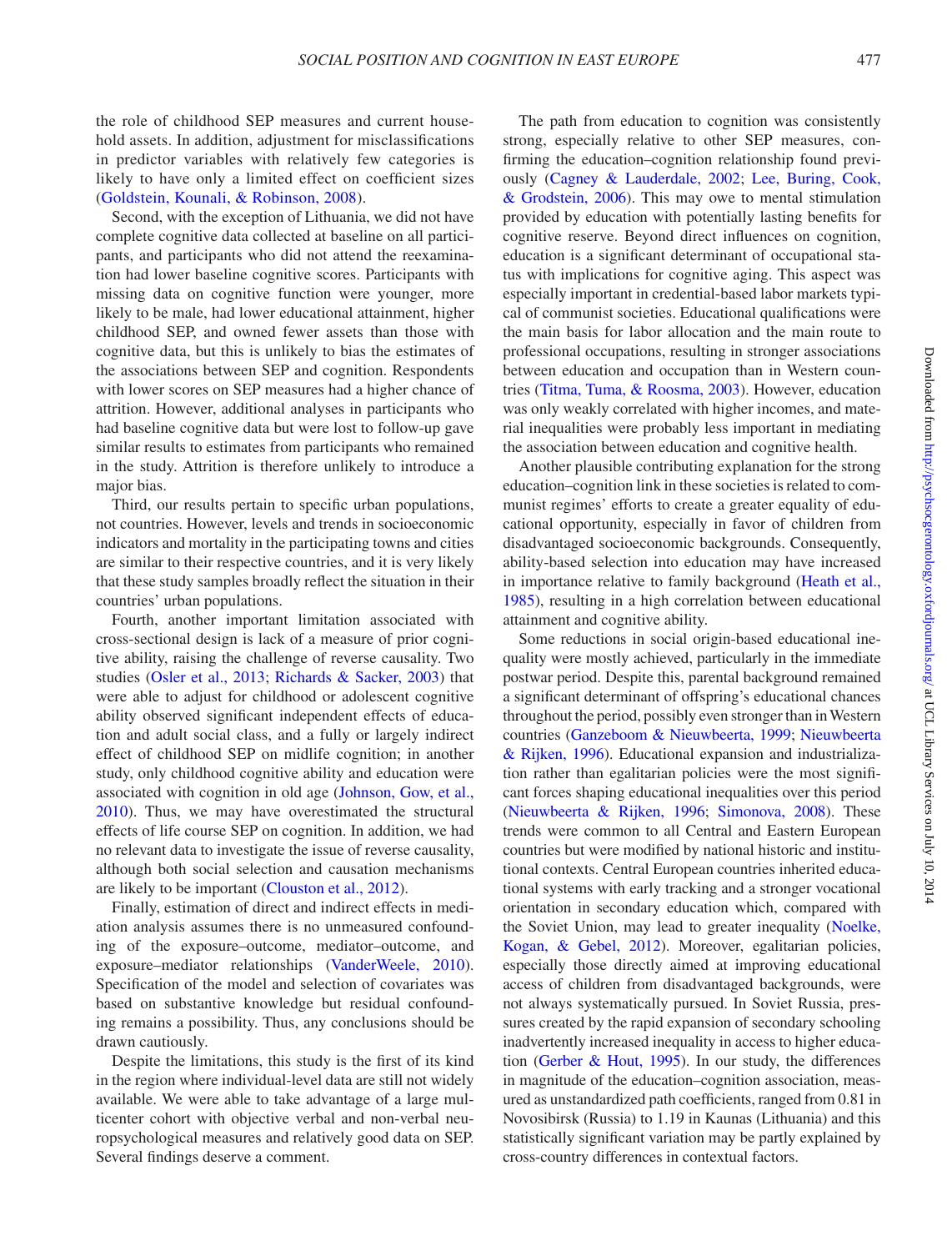the role of childhood SEP measures and current household assets. In addition, adjustment for misclassifications in predictor variables with relatively few categories is likely to have only a limited effect on coefficient sizes [\(Goldstein, Kounali, & Robinson, 2008](#page-10-22)).

Second, with the exception of Lithuania, we did not have complete cognitive data collected at baseline on all participants, and participants who did not attend the reexamination had lower baseline cognitive scores. Participants with missing data on cognitive function were younger, more likely to be male, had lower educational attainment, higher childhood SEP, and owned fewer assets than those with cognitive data, but this is unlikely to bias the estimates of the associations between SEP and cognition. Respondents with lower scores on SEP measures had a higher chance of attrition. However, additional analyses in participants who had baseline cognitive data but were lost to follow-up gave similar results to estimates from participants who remained in the study. Attrition is therefore unlikely to introduce a major bias.

Third, our results pertain to specific urban populations, not countries. However, levels and trends in socioeconomic indicators and mortality in the participating towns and cities are similar to their respective countries, and it is very likely that these study samples broadly reflect the situation in their countries' urban populations.

Fourth, another important limitation associated with cross-sectional design is lack of a measure of prior cognitive ability, raising the challenge of reverse causality. Two studies ([Osler et al., 2013;](#page-11-7) [Richards & Sacker, 2003\)](#page-11-1) that were able to adjust for childhood or adolescent cognitive ability observed significant independent effects of education and adult social class, and a fully or largely indirect effect of childhood SEP on midlife cognition; in another study, only childhood cognitive ability and education were associated with cognition in old age [\(Johnson, Gow, et al.,](#page-10-17)  [2010](#page-10-17)). Thus, we may have overestimated the structural effects of life course SEP on cognition. In addition, we had no relevant data to investigate the issue of reverse causality, although both social selection and causation mechanisms are likely to be important ([Clouston et al., 2012\)](#page-10-7).

Finally, estimation of direct and indirect effects in mediation analysis assumes there is no unmeasured confounding of the exposure–outcome, mediator–outcome, and exposure–mediator relationships [\(VanderWeele, 2010\)](#page-11-13). Specification of the model and selection of covariates was based on substantive knowledge but residual confounding remains a possibility. Thus, any conclusions should be drawn cautiously.

Despite the limitations, this study is the first of its kind in the region where individual-level data are still not widely available. We were able to take advantage of a large multicenter cohort with objective verbal and non-verbal neuropsychological measures and relatively good data on SEP. Several findings deserve a comment.

The path from education to cognition was consistently strong, especially relative to other SEP measures, confirming the education–cognition relationship found previously [\(Cagney & Lauderdale, 2002](#page-10-23); [Lee, Buring, Cook,](#page-10-24) [& Grodstein, 2006\)](#page-10-24). This may owe to mental stimulation provided by education with potentially lasting benefits for cognitive reserve. Beyond direct influences on cognition, education is a significant determinant of occupational status with implications for cognitive aging. This aspect was especially important in credential-based labor markets typical of communist societies. Educational qualifications were the main basis for labor allocation and the main route to professional occupations, resulting in stronger associations between education and occupation than in Western countries ([Titma, Tuma, & Roosma, 2003](#page-11-14)). However, education was only weakly correlated with higher incomes, and material inequalities were probably less important in mediating the association between education and cognitive health.

Another plausible contributing explanation for the strong education–cognition link in these societies is related to communist regimes' efforts to create a greater equality of educational opportunity, especially in favor of children from disadvantaged socioeconomic backgrounds. Consequently, ability-based selection into education may have increased in importance relative to family background [\(Heath et al.,](#page-10-25) [1985\)](#page-10-25), resulting in a high correlation between educational attainment and cognitive ability.

Some reductions in social origin-based educational inequality were mostly achieved, particularly in the immediate postwar period. Despite this, parental background remained a significant determinant of offspring's educational chances throughout the period, possibly even stronger than in Western countries [\(Ganzeboom & Nieuwbeerta, 1999;](#page-10-26) [Nieuwbeerta](#page-11-15) [& Rijken, 1996\)](#page-11-15). Educational expansion and industrialization rather than egalitarian policies were the most significant forces shaping educational inequalities over this period ([Nieuwbeerta & Rijken, 1996](#page-11-15); [Simonova, 2008\)](#page-11-16). These trends were common to all Central and Eastern European countries but were modified by national historic and institutional contexts. Central European countries inherited educational systems with early tracking and a stronger vocational orientation in secondary education which, compared with the Soviet Union, may lead to greater inequality [\(Noelke,](#page-11-17) [Kogan, & Gebel, 2012](#page-11-17)). Moreover, egalitarian policies, especially those directly aimed at improving educational access of children from disadvantaged backgrounds, were not always systematically pursued. In Soviet Russia, pressures created by the rapid expansion of secondary schooling inadvertently increased inequality in access to higher education [\(Gerber & Hout, 1995\)](#page-10-27). In our study, the differences in magnitude of the education–cognition association, measured as unstandardized path coefficients, ranged from 0.81 in Novosibirsk (Russia) to 1.19 in Kaunas (Lithuania) and this statistically significant variation may be partly explained by cross-country differences in contextual factors.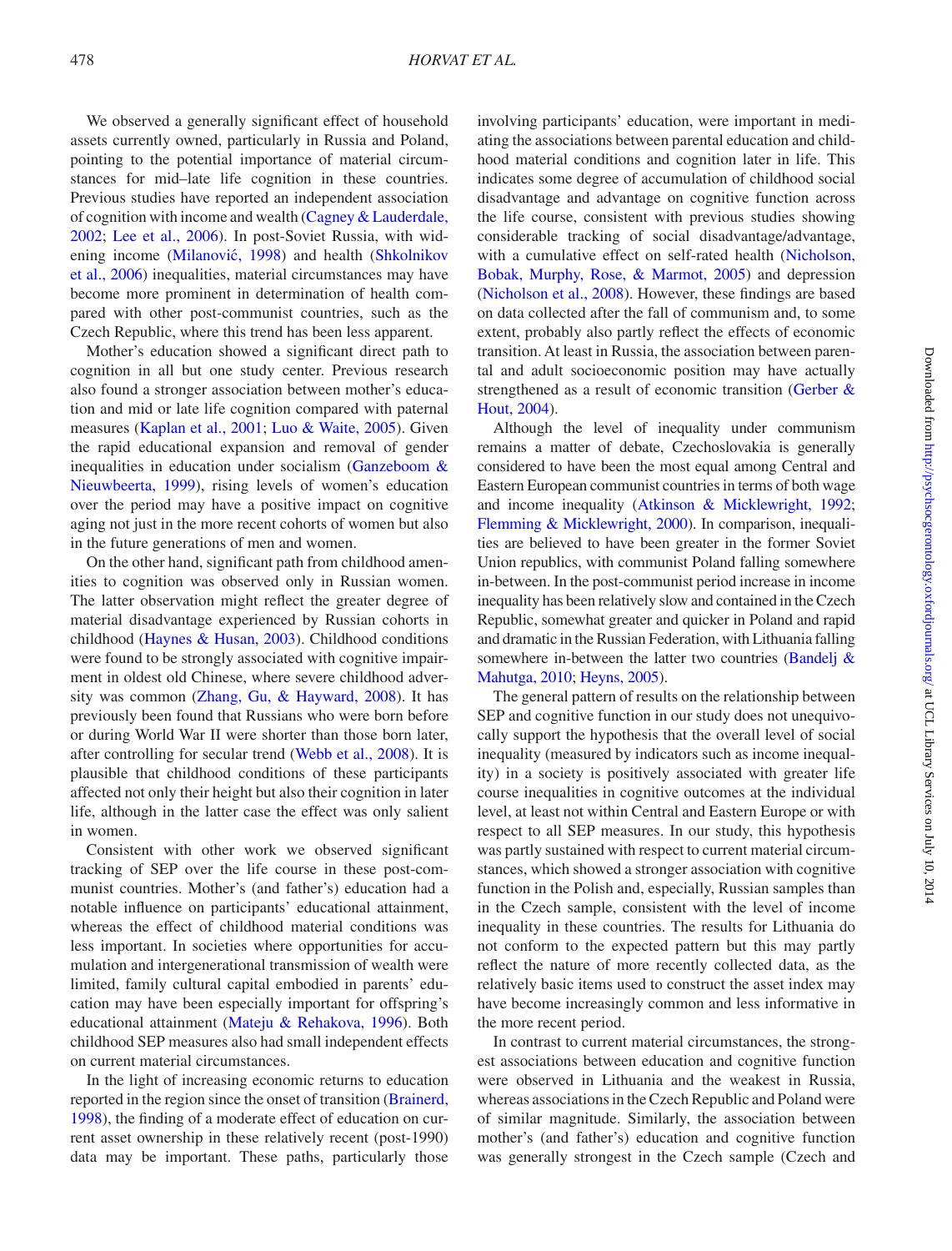We observed a generally significant effect of household assets currently owned, particularly in Russia and Poland, pointing to the potential importance of material circumstances for mid–late life cognition in these countries. Previous studies have reported an independent association of cognition with income and wealth ([Cagney & Lauderdale,](#page-10-23)  [2002](#page-10-23); [Lee et al., 2006\)](#page-10-24). In post-Soviet Russia, with widening income ([Milanovic](#page-11-18)́, 1998) and health ([Shkolnikov](#page-11-19)  [et al., 2006](#page-11-19)) inequalities, material circumstances may have become more prominent in determination of health compared with other post-communist countries, such as the Czech Republic, where this trend has been less apparent.

Mother's education showed a significant direct path to cognition in all but one study center. Previous research also found a stronger association between mother's education and mid or late life cognition compared with paternal measures [\(Kaplan et al., 2001](#page-10-13); [Luo & Waite, 2005\)](#page-10-2). Given the rapid educational expansion and removal of gender inequalities in education under socialism ([Ganzeboom &](#page-10-26)  [Nieuwbeerta, 1999](#page-10-26)), rising levels of women's education over the period may have a positive impact on cognitive aging not just in the more recent cohorts of women but also in the future generations of men and women.

On the other hand, significant path from childhood amenities to cognition was observed only in Russian women. The latter observation might reflect the greater degree of material disadvantage experienced by Russian cohorts in childhood [\(Haynes & Husan, 2003\)](#page-10-28). Childhood conditions were found to be strongly associated with cognitive impairment in oldest old Chinese, where severe childhood adversity was common [\(Zhang, Gu, & Hayward, 2008\)](#page-11-20). It has previously been found that Russians who were born before or during World War II were shorter than those born later, after controlling for secular trend ([Webb et al., 2008](#page-11-21)). It is plausible that childhood conditions of these participants affected not only their height but also their cognition in later life, although in the latter case the effect was only salient in women.

Consistent with other work we observed significant tracking of SEP over the life course in these post-communist countries. Mother's (and father's) education had a notable influence on participants' educational attainment, whereas the effect of childhood material conditions was less important. In societies where opportunities for accumulation and intergenerational transmission of wealth were limited, family cultural capital embodied in parents' education may have been especially important for offspring's educational attainment ([Mateju & Rehakova, 1996\)](#page-11-22). Both childhood SEP measures also had small independent effects on current material circumstances.

In the light of increasing economic returns to education reported in the region since the onset of transition [\(Brainerd,](#page-10-29)  [1998](#page-10-29)), the finding of a moderate effect of education on current asset ownership in these relatively recent (post-1990) data may be important. These paths, particularly those

involving participants' education, were important in mediating the associations between parental education and childhood material conditions and cognition later in life. This indicates some degree of accumulation of childhood social disadvantage and advantage on cognitive function across the life course, consistent with previous studies showing considerable tracking of social disadvantage/advantage, with a cumulative effect on self-rated health ([Nicholson,](#page-11-23) [Bobak, Murphy, Rose, & Marmot, 2005\)](#page-11-23) and depression ([Nicholson et al., 2008](#page-11-24)). However, these findings are based on data collected after the fall of communism and, to some extent, probably also partly reflect the effects of economic transition. At least in Russia, the association between parental and adult socioeconomic position may have actually strengthened as a result of economic transition [\(Gerber &](#page-10-30) [Hout, 2004\)](#page-10-30).

Although the level of inequality under communism remains a matter of debate, Czechoslovakia is generally considered to have been the most equal among Central and Eastern European communist countries in terms of both wage and income inequality [\(Atkinson & Micklewright, 1992](#page-9-1); [Flemming & Micklewright, 2000](#page-10-31)). In comparison, inequalities are believed to have been greater in the former Soviet Union republics, with communist Poland falling somewhere in-between. In the post-communist period increase in income inequality has been relatively slow and contained in the Czech Republic, somewhat greater and quicker in Poland and rapid and dramatic in the Russian Federation, with Lithuania falling somewhere in-between the latter two countries (Bandelj  $\&$ [Mahutga, 2010;](#page-9-2) [Heyns, 2005](#page-10-32)).

The general pattern of results on the relationship between SEP and cognitive function in our study does not unequivocally support the hypothesis that the overall level of social inequality (measured by indicators such as income inequality) in a society is positively associated with greater life course inequalities in cognitive outcomes at the individual level, at least not within Central and Eastern Europe or with respect to all SEP measures. In our study, this hypothesis was partly sustained with respect to current material circumstances, which showed a stronger association with cognitive function in the Polish and, especially, Russian samples than in the Czech sample, consistent with the level of income inequality in these countries. The results for Lithuania do not conform to the expected pattern but this may partly reflect the nature of more recently collected data, as the relatively basic items used to construct the asset index may have become increasingly common and less informative in the more recent period.

In contrast to current material circumstances, the strongest associations between education and cognitive function were observed in Lithuania and the weakest in Russia, whereas associations in the Czech Republic and Poland were of similar magnitude. Similarly, the association between mother's (and father's) education and cognitive function was generally strongest in the Czech sample (Czech and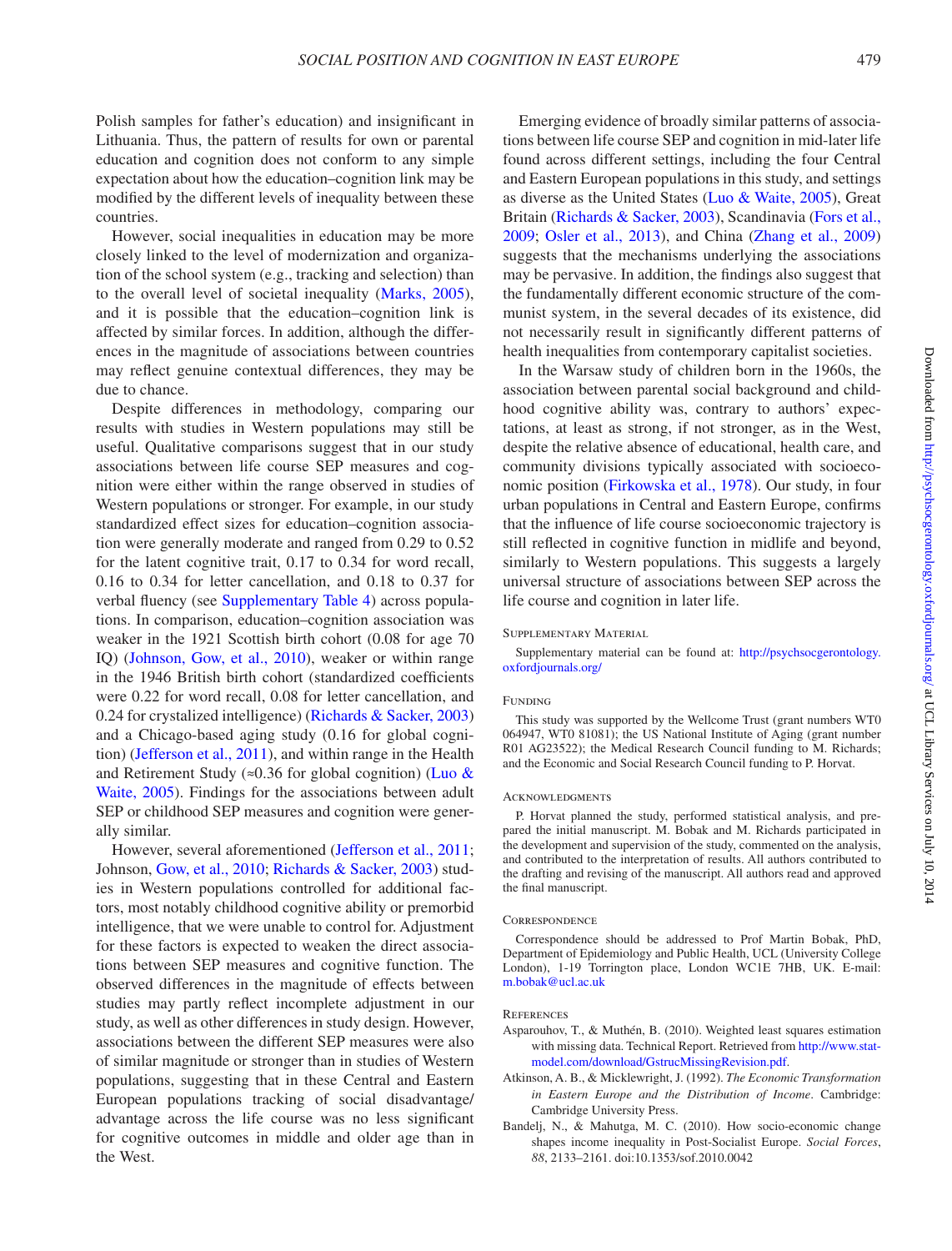Polish samples for father's education) and insignificant in Lithuania. Thus, the pattern of results for own or parental education and cognition does not conform to any simple expectation about how the education–cognition link may be modified by the different levels of inequality between these countries.

However, social inequalities in education may be more closely linked to the level of modernization and organization of the school system (e.g., tracking and selection) than to the overall level of societal inequality [\(Marks, 2005\)](#page-11-25), and it is possible that the education–cognition link is affected by similar forces. In addition, although the differences in the magnitude of associations between countries may reflect genuine contextual differences, they may be due to chance.

Despite differences in methodology, comparing our results with studies in Western populations may still be useful. Qualitative comparisons suggest that in our study associations between life course SEP measures and cognition were either within the range observed in studies of Western populations or stronger. For example, in our study standardized effect sizes for education–cognition association were generally moderate and ranged from 0.29 to 0.52 for the latent cognitive trait, 0.17 to 0.34 for word recall, 0.16 to 0.34 for letter cancellation, and 0.18 to 0.37 for verbal fluency (see [Supplementary Table 4](http://psychsocgerontology.oxfordjournals.org/lookup/suppl/doi:10.1093/geronb/gbu014/-/DC1)) across populations. In comparison, education–cognition association was weaker in the 1921 Scottish birth cohort (0.08 for age 70 IQ) ([Johnson, Gow, et al., 2010](#page-10-17)), weaker or within range in the 1946 British birth cohort (standardized coefficients were 0.22 for word recall, 0.08 for letter cancellation, and 0.24 for crystalized intelligence) [\(Richards & Sacker, 2003](#page-11-1)) and a Chicago-based aging study (0.16 for global cognition) ([Jefferson et al., 2011\)](#page-10-33), and within range in the Health and Retirement Study ( $\approx 0.36$  for global cognition) (Luo & [Waite, 2005](#page-10-2)). Findings for the associations between adult SEP or childhood SEP measures and cognition were generally similar.

However, several aforementioned [\(Jefferson et al., 2011;](#page-10-33) Johnson, [Gow, et al., 2010;](#page-10-17) [Richards & Sacker, 2003\)](#page-11-1) studies in Western populations controlled for additional factors, most notably childhood cognitive ability or premorbid intelligence, that we were unable to control for. Adjustment for these factors is expected to weaken the direct associations between SEP measures and cognitive function. The observed differences in the magnitude of effects between studies may partly reflect incomplete adjustment in our study, as well as other differences in study design. However, associations between the different SEP measures were also of similar magnitude or stronger than in studies of Western populations, suggesting that in these Central and Eastern European populations tracking of social disadvantage/ advantage across the life course was no less significant for cognitive outcomes in middle and older age than in the West.

Emerging evidence of broadly similar patterns of associations between life course SEP and cognition in mid-later life found across different settings, including the four Central and Eastern European populations in this study, and settings as diverse as the United States ([Luo & Waite, 2005](#page-10-2)), Great Britain [\(Richards & Sacker, 2003](#page-11-1)), Scandinavia ([Fors et al.,](#page-10-12) [2009;](#page-10-12) [Osler et al., 2013](#page-11-7)), and China ([Zhang et al., 2009\)](#page-11-9) suggests that the mechanisms underlying the associations may be pervasive. In addition, the findings also suggest that the fundamentally different economic structure of the communist system, in the several decades of its existence, did not necessarily result in significantly different patterns of health inequalities from contemporary capitalist societies.

In the Warsaw study of children born in the 1960s, the association between parental social background and childhood cognitive ability was, contrary to authors' expectations, at least as strong, if not stronger, as in the West, despite the relative absence of educational, health care, and community divisions typically associated with socioeconomic position ([Firkowska et al., 1978\)](#page-10-34). Our study, in four urban populations in Central and Eastern Europe, confirms that the influence of life course socioeconomic trajectory is still reflected in cognitive function in midlife and beyond, similarly to Western populations. This suggests a largely universal structure of associations between SEP across the life course and cognition in later life.

### Supplementary Material

Supplementary material can be found at: [http://psychsocgerontology.](http://psychsocgerontology.oxfordjournals.org/lookup/suppl/doi:10.1093/geronb/gbu014/-/DC1) [oxfordjournals.org/](http://psychsocgerontology.oxfordjournals.org/lookup/suppl/doi:10.1093/geronb/gbu014/-/DC1)

### Funding

This study was supported by the Wellcome Trust (grant numbers WT0 064947, WT0 81081); the US National Institute of Aging (grant number R01 AG23522); the Medical Research Council funding to M. Richards; and the Economic and Social Research Council funding to P. Horvat.

#### **ACKNOWLEDGMENTS**

P. Horvat planned the study, performed statistical analysis, and prepared the initial manuscript. M. Bobak and M. Richards participated in the development and supervision of the study, commented on the analysis, and contributed to the interpretation of results. All authors contributed to the drafting and revising of the manuscript. All authors read and approved the final manuscript.

#### **CORRESPONDENCE**

Correspondence should be addressed to Prof Martin Bobak, PhD, Department of Epidemiology and Public Health, UCL (University College London), 1-19 Torrington place, London WC1E 7HB, UK. E-mail: [m.bobak@ucl.ac.uk](mailto:m.bobak@ucl.ac.uk?subject=)

#### **REFERENCES**

- <span id="page-9-0"></span>Asparouhov, T., & Muthén, B. (2010). Weighted least squares estimation with missing data. Technical Report. Retrieved from [http://www.stat](http://www.statmodel.com/download/GstrucMissingRevision.pdf)[model.com/download/GstrucMissingRevision.pdf](http://www.statmodel.com/download/GstrucMissingRevision.pdf).
- <span id="page-9-1"></span>Atkinson, A. B., & Micklewright, J. (1992). *The Economic Transformation in Eastern Europe and the Distribution of Income*. Cambridge: Cambridge University Press.
- <span id="page-9-2"></span>Bandelj, N., & Mahutga, M. C. (2010). How socio-economic change shapes income inequality in Post-Socialist Europe. *Social Forces*, *88*, 2133–2161. doi:10.1353/sof.2010.0042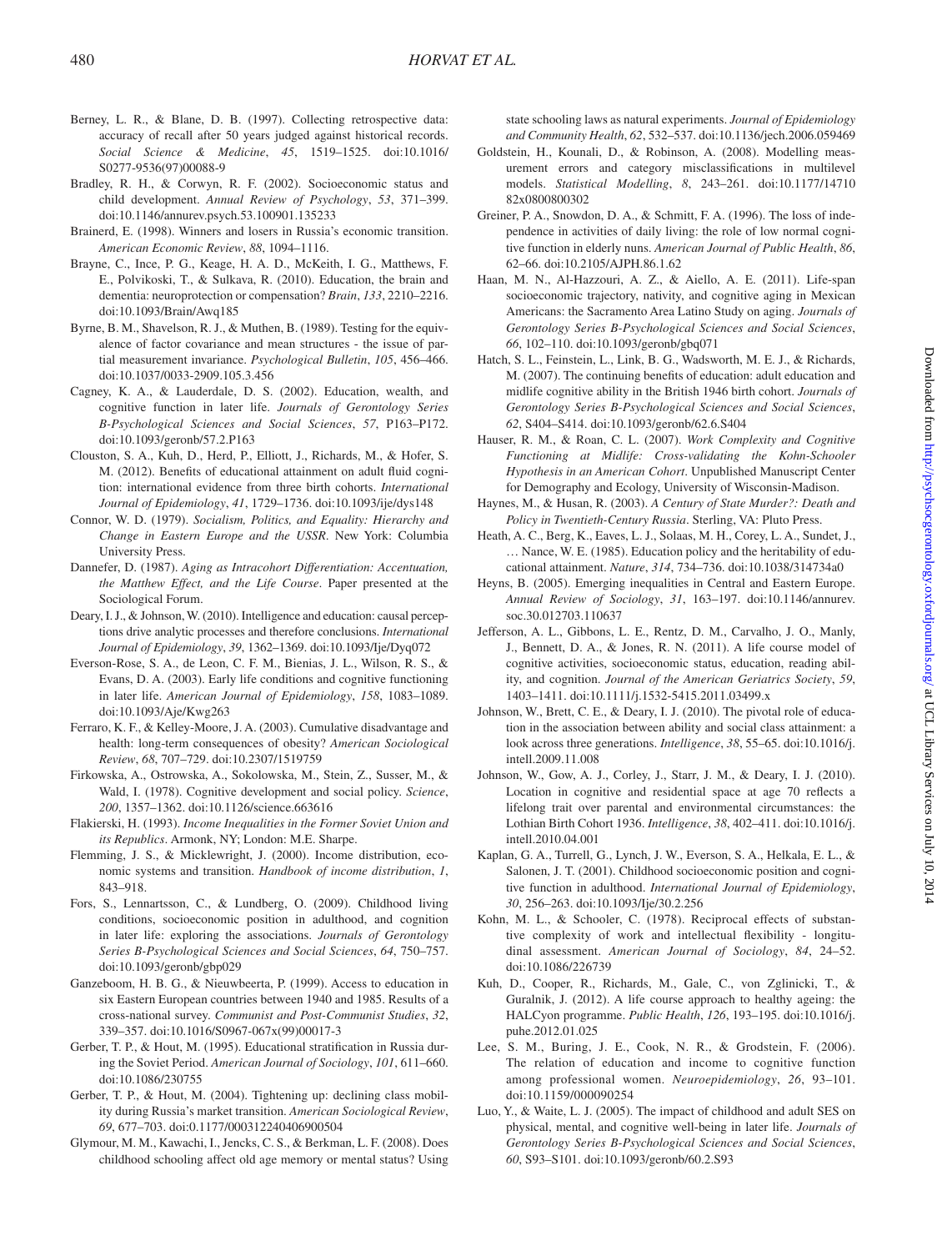- <span id="page-10-21"></span>Berney, L. R., & Blane, D. B. (1997). Collecting retrospective data: accuracy of recall after 50 years judged against historical records. *Social Science & Medicine*, *45*, 1519–1525. doi:10.1016/ S0277-9536(97)00088-9
- <span id="page-10-14"></span>Bradley, R. H., & Corwyn, R. F. (2002). Socioeconomic status and child development. *Annual Review of Psychology*, *53*, 371–399. doi:10.1146/annurev.psych.53.100901.135233
- <span id="page-10-29"></span>Brainerd, E. (1998). Winners and losers in Russia's economic transition. *American Economic Review*, *88*, 1094–1116.
- <span id="page-10-3"></span>Brayne, C., Ince, P. G., Keage, H. A. D., McKeith, I. G., Matthews, F. E., Polvikoski, T., & Sulkava, R. (2010). Education, the brain and dementia: neuroprotection or compensation? *Brain*, *133*, 2210–2216. doi:10.1093/Brain/Awq185
- <span id="page-10-20"></span>Byrne, B. M., Shavelson, R. J., & Muthen, B. (1989). Testing for the equivalence of factor covariance and mean structures - the issue of partial measurement invariance. *Psychological Bulletin*, *105*, 456–466. doi:10.1037/0033-2909.105.3.456
- <span id="page-10-23"></span>Cagney, K. A., & Lauderdale, D. S. (2002). Education, wealth, and cognitive function in later life. *Journals of Gerontology Series B-Psychological Sciences and Social Sciences*, *57*, P163–P172. doi:10.1093/geronb/57.2.P163
- <span id="page-10-7"></span>Clouston, S. A., Kuh, D., Herd, P., Elliott, J., Richards, M., & Hofer, S. M. (2012). Benefits of educational attainment on adult fluid cognition: international evidence from three birth cohorts. *International Journal of Epidemiology*, *41*, 1729–1736. doi:10.1093/ije/dys148
- <span id="page-10-18"></span>Connor, W. D. (1979). *Socialism, Politics, and Equality: Hierarchy and Change in Eastern Europe and the USSR*. New York: Columbia University Press.
- <span id="page-10-15"></span>Dannefer, D. (1987). *Aging as Intracohort Differentiation: Accentuation, the Matthew Effect, and the Life Course*. Paper presented at the Sociological Forum.
- <span id="page-10-6"></span>Deary, I. J., & Johnson, W. (2010). Intelligence and education: causal perceptions drive analytic processes and therefore conclusions. *International Journal of Epidemiology*, *39*, 1362–1369. doi:10.1093/Ije/Dyq072
- <span id="page-10-11"></span>Everson-Rose, S. A., de Leon, C. F. M., Bienias, J. L., Wilson, R. S., & Evans, D. A. (2003). Early life conditions and cognitive functioning in later life. *American Journal of Epidemiology*, *158*, 1083–1089. doi:10.1093/Aje/Kwg263
- <span id="page-10-16"></span>Ferraro, K. F., & Kelley-Moore, J. A. (2003). Cumulative disadvantage and health: long-term consequences of obesity? *American Sociological Review*, *68*, 707–729. doi:10.2307/1519759
- <span id="page-10-34"></span>Firkowska, A., Ostrowska, A., Sokolowska, M., Stein, Z., Susser, M., & Wald, I. (1978). Cognitive development and social policy. *Science*, *200*, 1357–1362. doi:10.1126/science.663616
- <span id="page-10-19"></span>Flakierski, H. (1993). *Income Inequalities in the Former Soviet Union and its Republics*. Armonk, NY; London: M.E. Sharpe.
- <span id="page-10-31"></span>Flemming, J. S., & Micklewright, J. (2000). Income distribution, economic systems and transition. *Handbook of income distribution*, *1*, 843–918.
- <span id="page-10-12"></span>Fors, S., Lennartsson, C., & Lundberg, O. (2009). Childhood living conditions, socioeconomic position in adulthood, and cognition in later life: exploring the associations. *Journals of Gerontology Series B-Psychological Sciences and Social Sciences*, *64*, 750–757. doi:10.1093/geronb/gbp029
- <span id="page-10-26"></span>Ganzeboom, H. B. G., & Nieuwbeerta, P. (1999). Access to education in six Eastern European countries between 1940 and 1985. Results of a cross-national survey. *Communist and Post-Communist Studies*, *32*, 339–357. doi:10.1016/S0967-067x(99)00017-3
- <span id="page-10-27"></span>Gerber, T. P., & Hout, M. (1995). Educational stratification in Russia during the Soviet Period. *American Journal of Sociology*, *101*, 611–660. doi:10.1086/230755
- <span id="page-10-30"></span>Gerber, T. P., & Hout, M. (2004). Tightening up: declining class mobility during Russia's market transition. *American Sociological Review*, *69*, 677–703. doi:0.1177/000312240406900504
- <span id="page-10-8"></span>Glymour, M. M., Kawachi, I., Jencks, C. S., & Berkman, L. F. (2008). Does childhood schooling affect old age memory or mental status? Using

state schooling laws as natural experiments. *Journal of Epidemiology and Community Health*, *62*, 532–537. doi:10.1136/jech.2006.059469

- <span id="page-10-22"></span>Goldstein, H., Kounali, D., & Robinson, A. (2008). Modelling measurement errors and category misclassifications in multilevel models. *Statistical Modelling*, *8*, 243–261. doi:10.1177/14710 82x0800800302
- <span id="page-10-0"></span>Greiner, P. A., Snowdon, D. A., & Schmitt, F. A. (1996). The loss of independence in activities of daily living: the role of low normal cognitive function in elderly nuns. *American Journal of Public Health*, *86*, 62–66. doi:10.2105/AJPH.86.1.62
- <span id="page-10-1"></span>Haan, M. N., Al-Hazzouri, A. Z., & Aiello, A. E. (2011). Life-span socioeconomic trajectory, nativity, and cognitive aging in Mexican Americans: the Sacramento Area Latino Study on aging. *Journals of Gerontology Series B-Psychological Sciences and Social Sciences*, *66*, 102–110. doi:10.1093/geronb/gbq071
- <span id="page-10-9"></span>Hatch, S. L., Feinstein, L., Link, B. G., Wadsworth, M. E. J., & Richards, M. (2007). The continuing benefits of education: adult education and midlife cognitive ability in the British 1946 birth cohort. *Journals of Gerontology Series B-Psychological Sciences and Social Sciences*, *62*, S404–S414. doi:10.1093/geronb/62.6.S404
- <span id="page-10-4"></span>Hauser, R. M., & Roan, C. L. (2007). *Work Complexity and Cognitive Functioning at Midlife: Cross-validating the Kohn-Schooler Hypothesis in an American Cohort*. Unpublished Manuscript Center for Demography and Ecology, University of Wisconsin-Madison.
- <span id="page-10-28"></span>Haynes, M., & Husan, R. (2003). *A Century of State Murder?: Death and Policy in Twentieth-Century Russia*. Sterling, VA: Pluto Press.
- <span id="page-10-25"></span>Heath, A. C., Berg, K., Eaves, L. J., Solaas, M. H., Corey, L. A., Sundet, J., … Nance, W. E. (1985). Education policy and the heritability of educational attainment. *Nature*, *314*, 734–736. doi:10.1038/314734a0
- <span id="page-10-32"></span>Heyns, B. (2005). Emerging inequalities in Central and Eastern Europe. *Annual Review of Sociology*, *31*, 163–197. doi:10.1146/annurev. soc.30.012703.110637
- <span id="page-10-33"></span>Jefferson, A. L., Gibbons, L. E., Rentz, D. M., Carvalho, J. O., Manly, J., Bennett, D. A., & Jones, R. N. (2011). A life course model of cognitive activities, socioeconomic status, education, reading ability, and cognition. *Journal of the American Geriatrics Society*, *59*, 1403–1411. doi:10.1111/j.1532-5415.2011.03499.x
- <span id="page-10-10"></span>Johnson, W., Brett, C. E., & Deary, I. J. (2010). The pivotal role of education in the association between ability and social class attainment: a look across three generations. *Intelligence*, *38*, 55–65. doi:10.1016/j. intell.2009.11.008
- <span id="page-10-17"></span>Johnson, W., Gow, A. J., Corley, J., Starr, J. M., & Deary, I. J. (2010). Location in cognitive and residential space at age 70 reflects a lifelong trait over parental and environmental circumstances: the Lothian Birth Cohort 1936. *Intelligence*, *38*, 402–411. doi:10.1016/j. intell.2010.04.001
- <span id="page-10-13"></span>Kaplan, G. A., Turrell, G., Lynch, J. W., Everson, S. A., Helkala, E. L., & Salonen, J. T. (2001). Childhood socioeconomic position and cognitive function in adulthood. *International Journal of Epidemiology*, *30*, 256–263. doi:10.1093/Ije/30.2.256
- <span id="page-10-5"></span>Kohn, M. L., & Schooler, C. (1978). Reciprocal effects of substantive complexity of work and intellectual flexibility - longitudinal assessment. *American Journal of Sociology*, *84*, 24–52. doi:10.1086/226739
- Kuh, D., Cooper, R., Richards, M., Gale, C., von Zglinicki, T., & Guralnik, J. (2012). A life course approach to healthy ageing: the HALCyon programme. *Public Health*, *126*, 193–195. doi:10.1016/j. puhe.2012.01.025
- <span id="page-10-24"></span>Lee, S. M., Buring, J. E., Cook, N. R., & Grodstein, F. (2006). The relation of education and income to cognitive function among professional women. *Neuroepidemiology*, *26*, 93–101. doi:10.1159/000090254
- <span id="page-10-2"></span>Luo, Y., & Waite, L. J. (2005). The impact of childhood and adult SES on physical, mental, and cognitive well-being in later life. *Journals of Gerontology Series B-Psychological Sciences and Social Sciences*, *60*, S93–S101. doi:10.1093/geronb/60.2.S93